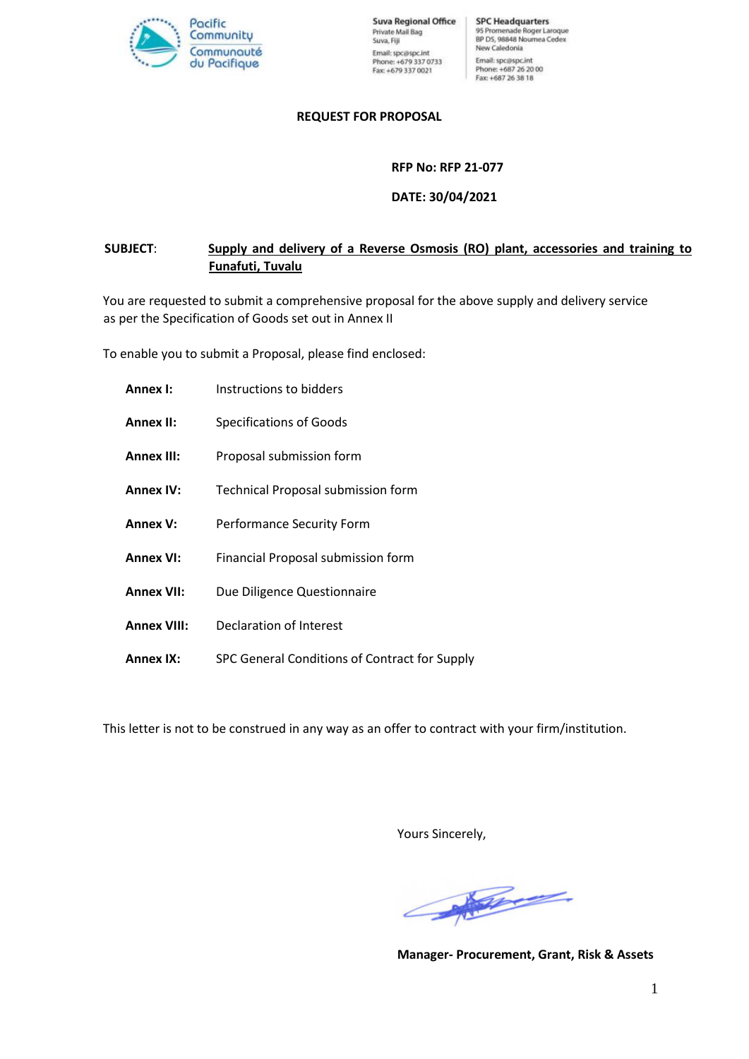

**Suva Regional Office** Private Mail Bag Suva, Fiji Email: spc@spc.int Phone: +679 337 0733<br>Fax: +679 337 0021

**SPC Headquarters** 95 Promenade Roger Laroque<br>BP D5, 98848 Noumea Cedex New Caledonia Email: spc@spc.int Phone: +687 26 20 00<br>Fax: +687 26 38 18

#### **REQUEST FOR PROPOSAL**

**RFP No: RFP 21-077**

**DATE: 30/04/2021**

# **SUBJECT**: **Supply and delivery of a Reverse Osmosis (RO) plant, accessories and training to Funafuti, Tuvalu**

You are requested to submit a comprehensive proposal for the above supply and delivery service as per the Specification of Goods set out in Annex II

To enable you to submit a Proposal, please find enclosed:

| Annex I:           | Instructions to bidders                       |
|--------------------|-----------------------------------------------|
| <b>Annex II:</b>   | <b>Specifications of Goods</b>                |
| <b>Annex III:</b>  | Proposal submission form                      |
| <b>Annex IV:</b>   | <b>Technical Proposal submission form</b>     |
| <b>Annex V:</b>    | Performance Security Form                     |
| <b>Annex VI:</b>   | Financial Proposal submission form            |
| <b>Annex VII:</b>  | Due Diligence Questionnaire                   |
| <b>Annex VIII:</b> | Declaration of Interest                       |
| <b>Annex IX:</b>   | SPC General Conditions of Contract for Supply |

This letter is not to be construed in any way as an offer to contract with your firm/institution.

Yours Sincerely,

James .

**Manager- Procurement, Grant, Risk & Assets**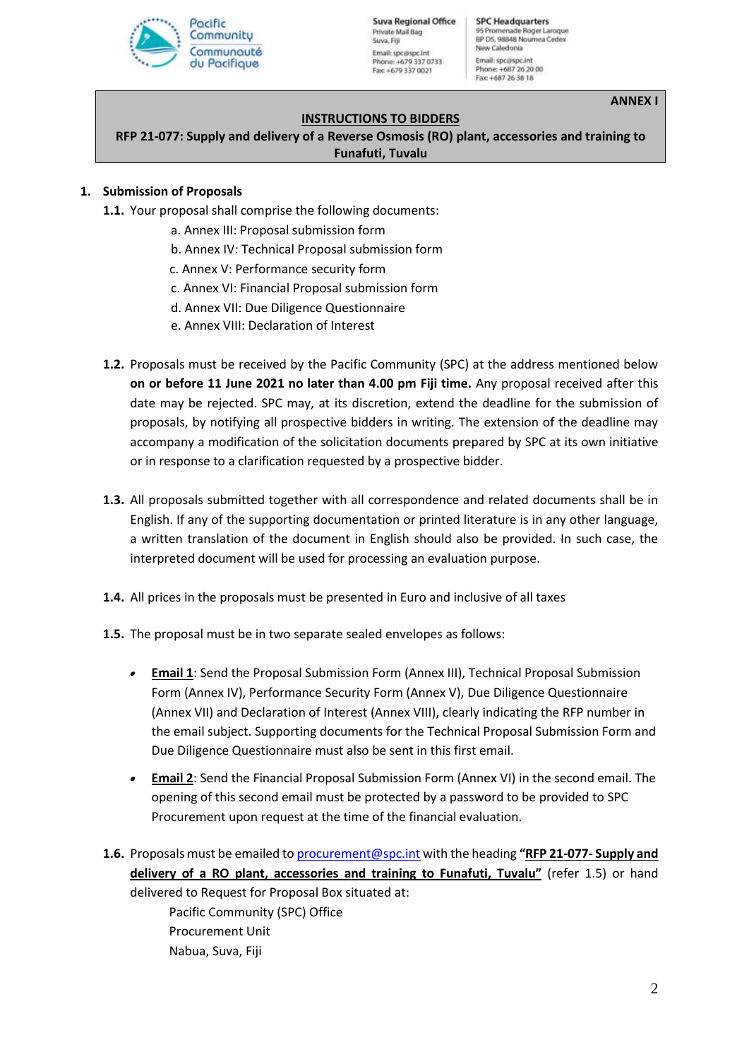

**Suva Regional Office** Private Mail Bag Suva, Fill Email: spc@spc.int Phone: +679 337 0733 Fax: +679 337 0021

**SPC Headquarters** 95 Promenade Roger Laroque<br>BP D5, 98848 Noumea Cedex New Caledonia Email: spc@spc.int Phone: +687 26 20 00<br>Fax: +687 26 38 18

**ANNEX I**

#### **INSTRUCTIONS TO BIDDERS**

**RFP 21-077: Supply and delivery of a Reverse Osmosis (RO) plant, accessories and training to Funafuti, Tuvalu**

#### **1. Submission of Proposals**

- **1.1.** Your proposal shall comprise the following documents:
	- a. Annex III: Proposal submission form
	- b. Annex IV: Technical Proposal submission form
	- c. Annex V: Performance security form
	- c. Annex VI: Financial Proposal submission form
	- d. Annex VII: Due Diligence Questionnaire
	- e. Annex VIII: Declaration of Interest
- **1.2.** Proposals must be received by the Pacific Community (SPC) at the address mentioned below **on or before 11 June 2021 no later than 4.00 pm Fiji time.** Any proposal received after this date may be rejected. SPC may, at its discretion, extend the deadline for the submission of proposals, by notifying all prospective bidders in writing. The extension of the deadline may accompany a modification of the solicitation documents prepared by SPC at its own initiative or in response to a clarification requested by a prospective bidder.
- **1.3.** All proposals submitted together with all correspondence and related documents shall be in English. If any of the supporting documentation or printed literature is in any other language, a written translation of the document in English should also be provided. In such case, the interpreted document will be used for processing an evaluation purpose.
- **1.4.** All prices in the proposals must be presented in Euro and inclusive of all taxes
- **1.5.** The proposal must be in two separate sealed envelopes as follows:
	- • **Email 1**: Send the Proposal Submission Form (Annex III), Technical Proposal Submission Form (Annex IV), Performance Security Form (Annex V), Due Diligence Questionnaire (Annex VII) and Declaration of Interest (Annex VIII), clearly indicating the RFP number in the email subject. Supporting documents for the Technical Proposal Submission Form and Due Diligence Questionnaire must also be sent in this first email.
	- **Email 2**: Send the Financial Proposal Submission Form (Annex VI) in the second email. The opening of this second email must be protected by a password to be provided to SPC Procurement upon request at the time of the financial evaluation.
- **1.6.** Proposals must be emailed to [procurement@spc.int](mailto:procurement@spc.int) with the heading **"RFP 21-077- Supply and delivery of a RO plant, accessories and training to Funafuti, Tuvalu"** (refer 1.5) or hand delivered to Request for Proposal Box situated at:

Pacific Community (SPC) Office Procurement Unit Nabua, Suva, Fiji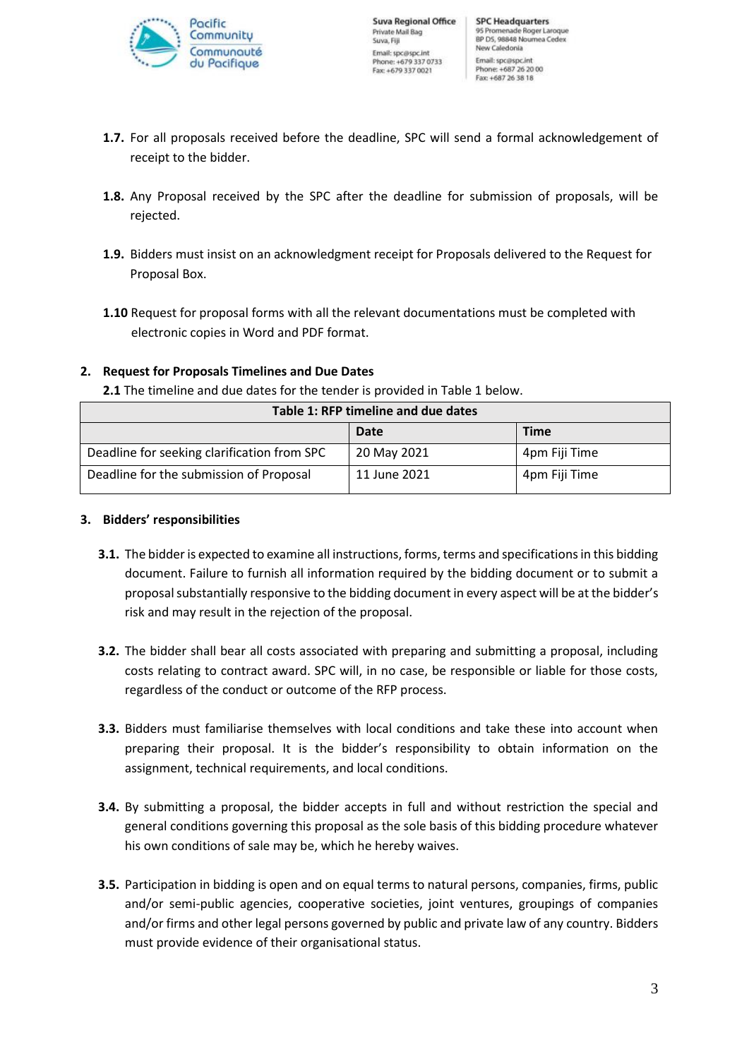

- **1.7.** For all proposals received before the deadline, SPC will send a formal acknowledgement of receipt to the bidder.
- **1.8.** Any Proposal received by the SPC after the deadline for submission of proposals, will be rejected.
- **1.9.** Bidders must insist on an acknowledgment receipt for Proposals delivered to the Request for Proposal Box.
- **1.10** Request for proposal forms with all the relevant documentations must be completed with electronic copies in Word and PDF format.

# **2. Request for Proposals Timelines and Due Dates**

**2.1** The timeline and due dates for the tender is provided in Table 1 below.

| Table 1: RFP timeline and due dates         |              |               |
|---------------------------------------------|--------------|---------------|
|                                             | Date         | <b>Time</b>   |
| Deadline for seeking clarification from SPC | 20 May 2021  | 4pm Fiji Time |
| Deadline for the submission of Proposal     | 11 June 2021 | 4pm Fiji Time |

## **3. Bidders' responsibilities**

- **3.1.** The bidder is expected to examine all instructions, forms, terms and specifications in this bidding document. Failure to furnish all information required by the bidding document or to submit a proposal substantially responsive to the bidding document in every aspect will be at the bidder's risk and may result in the rejection of the proposal.
- **3.2.** The bidder shall bear all costs associated with preparing and submitting a proposal, including costs relating to contract award. SPC will, in no case, be responsible or liable for those costs, regardless of the conduct or outcome of the RFP process.
- **3.3.** Bidders must familiarise themselves with local conditions and take these into account when preparing their proposal. It is the bidder's responsibility to obtain information on the assignment, technical requirements, and local conditions.
- **3.4.** By submitting a proposal, the bidder accepts in full and without restriction the special and general conditions governing this proposal as the sole basis of this bidding procedure whatever his own conditions of sale may be, which he hereby waives.
- **3.5.** Participation in bidding is open and on equal terms to natural persons, companies, firms, public and/or semi-public agencies, cooperative societies, joint ventures, groupings of companies and/or firms and other legal persons governed by public and private law of any country. Bidders must provide evidence of their organisational status.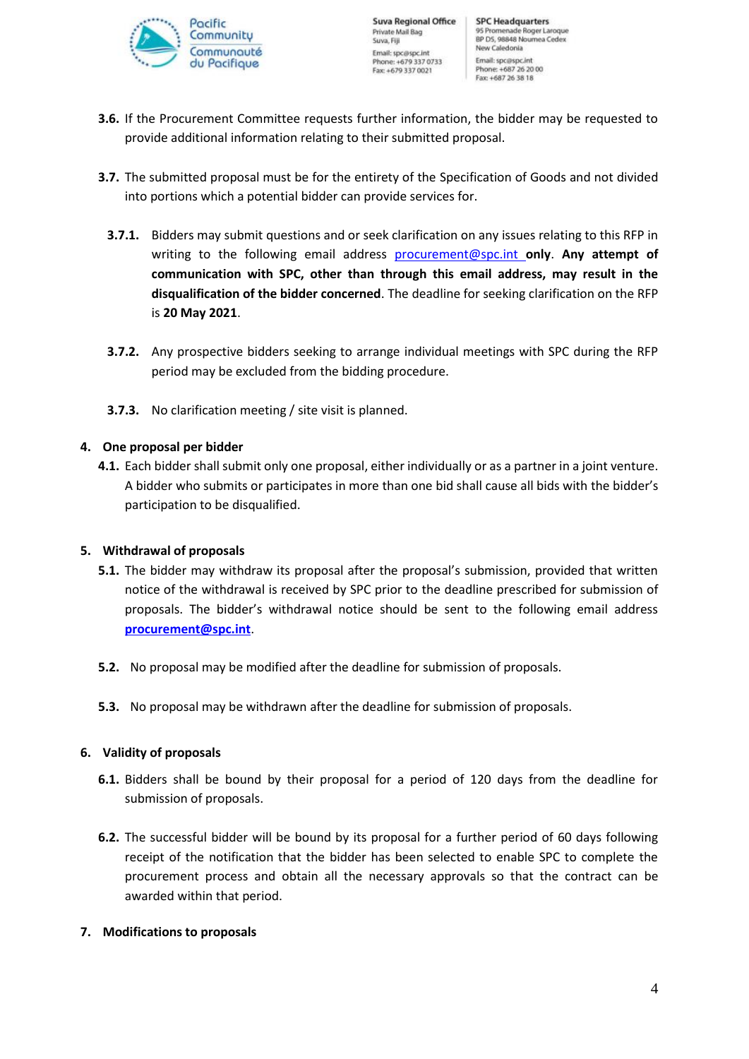

- **3.6.** If the Procurement Committee requests further information, the bidder may be requested to provide additional information relating to their submitted proposal.
- **3.7.** The submitted proposal must be for the entirety of the Specification of Goods and not divided into portions which a potential bidder can provide services for.
	- **3.7.1.** Bidders may submit questions and or seek clarification on any issues relating to this RFP in writing to the following email address [procurement@spc.int](mailto:procurement@spc.int) **only**. **Any attempt of communication with SPC, other than through this email address, may result in the disqualification of the bidder concerned**. The deadline for seeking clarification on the RFP is **20 May 2021**.
	- **3.7.2.** Any prospective bidders seeking to arrange individual meetings with SPC during the RFP period may be excluded from the bidding procedure.
	- **3.7.3.** No clarification meeting / site visit is planned.

## **4. One proposal per bidder**

**4.1.** Each bidder shall submit only one proposal, either individually or as a partner in a joint venture. A bidder who submits or participates in more than one bid shall cause all bids with the bidder's participation to be disqualified.

## **5. Withdrawal of proposals**

- **5.1.** The bidder may withdraw its proposal after the proposal's submission, provided that written notice of the withdrawal is received by SPC prior to the deadline prescribed for submission of proposals. The bidder's withdrawal notice should be sent to the following email address **[procurement@spc.int](mailto:procurement@spc.int)**.
- **5.2.** No proposal may be modified after the deadline for submission of proposals.
- **5.3.** No proposal may be withdrawn after the deadline for submission of proposals.

## **6. Validity of proposals**

- **6.1.** Bidders shall be bound by their proposal for a period of 120 days from the deadline for submission of proposals.
- **6.2.** The successful bidder will be bound by its proposal for a further period of 60 days following receipt of the notification that the bidder has been selected to enable SPC to complete the procurement process and obtain all the necessary approvals so that the contract can be awarded within that period.

## **7. Modifications to proposals**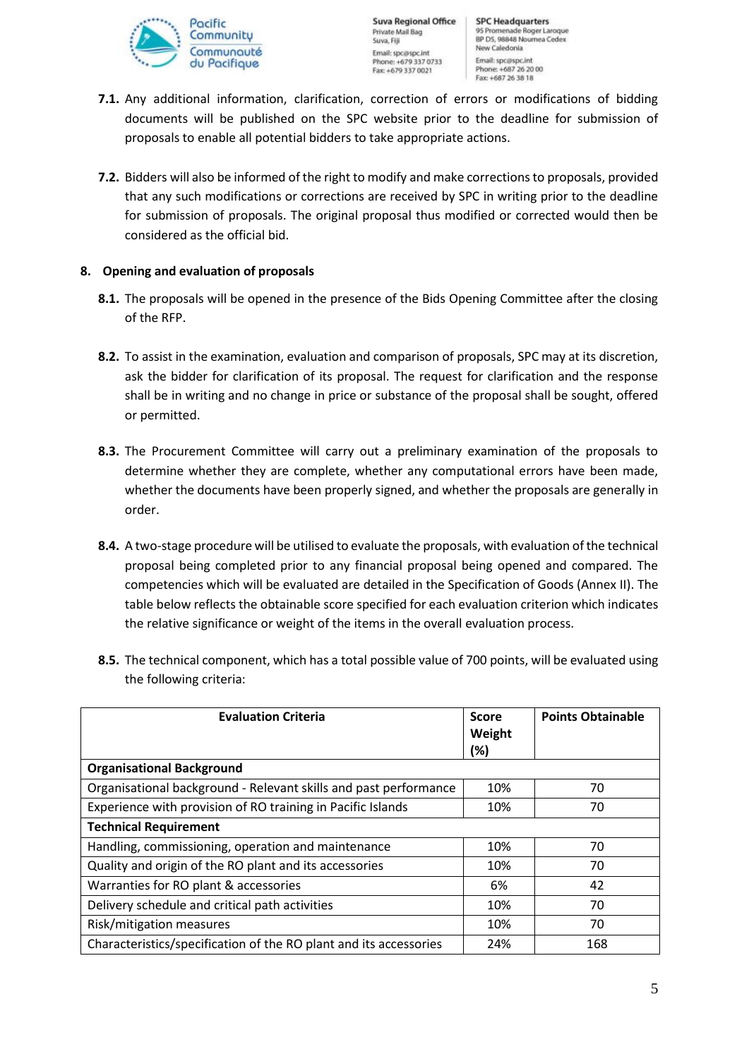

- **7.1.** Any additional information, clarification, correction of errors or modifications of bidding documents will be published on the SPC website prior to the deadline for submission of proposals to enable all potential bidders to take appropriate actions.
- **7.2.** Bidders will also be informed of the right to modify and make corrections to proposals, provided that any such modifications or corrections are received by SPC in writing prior to the deadline for submission of proposals. The original proposal thus modified or corrected would then be considered as the official bid.

## **8. Opening and evaluation of proposals**

- **8.1.** The proposals will be opened in the presence of the Bids Opening Committee after the closing of the RFP.
- **8.2.** To assist in the examination, evaluation and comparison of proposals, SPC may at its discretion, ask the bidder for clarification of its proposal. The request for clarification and the response shall be in writing and no change in price or substance of the proposal shall be sought, offered or permitted.
- **8.3.** The Procurement Committee will carry out a preliminary examination of the proposals to determine whether they are complete, whether any computational errors have been made, whether the documents have been properly signed, and whether the proposals are generally in order.
- **8.4.** A two-stage procedure will be utilised to evaluate the proposals, with evaluation of the technical proposal being completed prior to any financial proposal being opened and compared. The competencies which will be evaluated are detailed in the Specification of Goods (Annex II). The table below reflects the obtainable score specified for each evaluation criterion which indicates the relative significance or weight of the items in the overall evaluation process.
- **8.5.** The technical component, which has a total possible value of 700 points, will be evaluated using the following criteria:

| <b>Evaluation Criteria</b>                                        | <b>Score</b><br>Weight<br>(%) | <b>Points Obtainable</b> |
|-------------------------------------------------------------------|-------------------------------|--------------------------|
| <b>Organisational Background</b>                                  |                               |                          |
| Organisational background - Relevant skills and past performance  | 10%                           | 70                       |
| Experience with provision of RO training in Pacific Islands       | 10%                           | 70                       |
| <b>Technical Requirement</b>                                      |                               |                          |
| Handling, commissioning, operation and maintenance                | 10%                           | 70                       |
| Quality and origin of the RO plant and its accessories            | 10%                           | 70                       |
| Warranties for RO plant & accessories                             | 6%                            | 42                       |
| Delivery schedule and critical path activities                    | 10%                           | 70                       |
| Risk/mitigation measures                                          | 10%                           | 70                       |
| Characteristics/specification of the RO plant and its accessories | 24%                           | 168                      |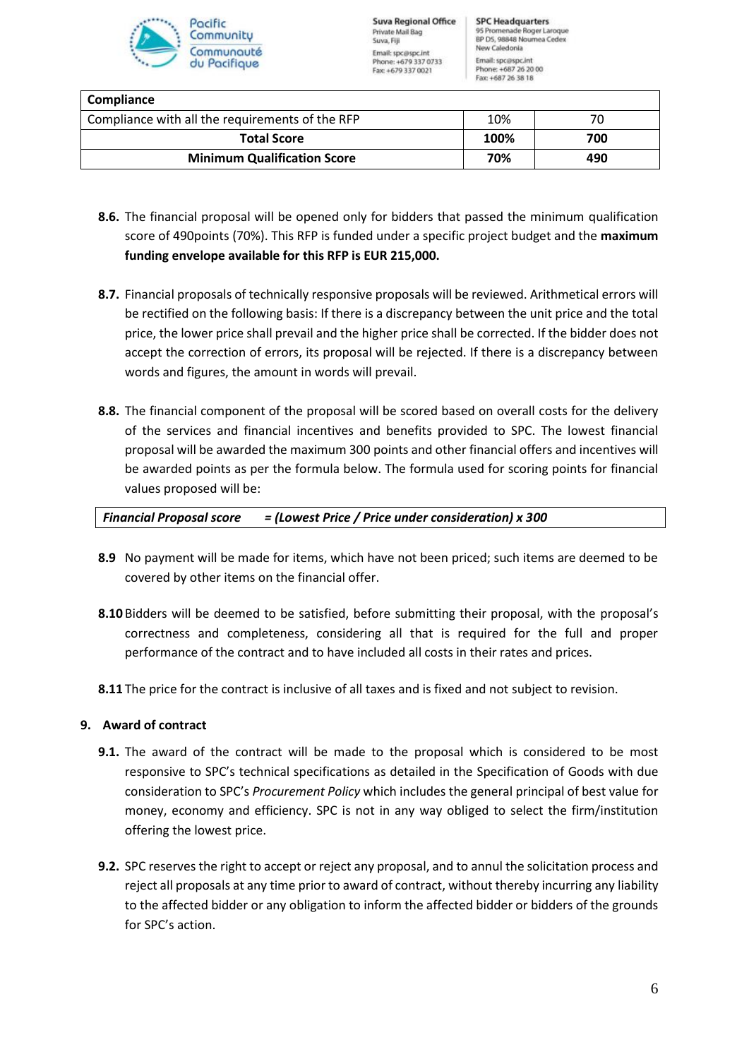

| Compliance                                      |      |     |
|-------------------------------------------------|------|-----|
| Compliance with all the requirements of the RFP | 10%  |     |
| <b>Total Score</b>                              | 100% | 700 |
| <b>Minimum Qualification Score</b>              | 70%  | 490 |
|                                                 |      |     |

- **8.6.** The financial proposal will be opened only for bidders that passed the minimum qualification score of 490points (70%). This RFP is funded under a specific project budget and the **maximum funding envelope available for this RFP is EUR 215,000.**
- **8.7.** Financial proposals of technically responsive proposals will be reviewed. Arithmetical errors will be rectified on the following basis: If there is a discrepancy between the unit price and the total price, the lower price shall prevail and the higher price shall be corrected. If the bidder does not accept the correction of errors, its proposal will be rejected. If there is a discrepancy between words and figures, the amount in words will prevail.
- **8.8.** The financial component of the proposal will be scored based on overall costs for the delivery of the services and financial incentives and benefits provided to SPC. The lowest financial proposal will be awarded the maximum 300 points and other financial offers and incentives will be awarded points as per the formula below. The formula used for scoring points for financial values proposed will be:

## *Financial Proposal score = (Lowest Price / Price under consideration) x 300*

- **8.9** No payment will be made for items, which have not been priced; such items are deemed to be covered by other items on the financial offer.
- **8.10**Bidders will be deemed to be satisfied, before submitting their proposal, with the proposal's correctness and completeness, considering all that is required for the full and proper performance of the contract and to have included all costs in their rates and prices.
- **8.11** The price for the contract is inclusive of all taxes and is fixed and not subject to revision.

## **9. Award of contract**

- **9.1.** The award of the contract will be made to the proposal which is considered to be most responsive to SPC's technical specifications as detailed in the Specification of Goods with due consideration to SPC's *Procurement Policy* which includes the general principal of best value for money, economy and efficiency. SPC is not in any way obliged to select the firm/institution offering the lowest price.
- **9.2.** SPC reserves the right to accept or reject any proposal, and to annul the solicitation process and reject all proposals at any time prior to award of contract, without thereby incurring any liability to the affected bidder or any obligation to inform the affected bidder or bidders of the grounds for SPC's action.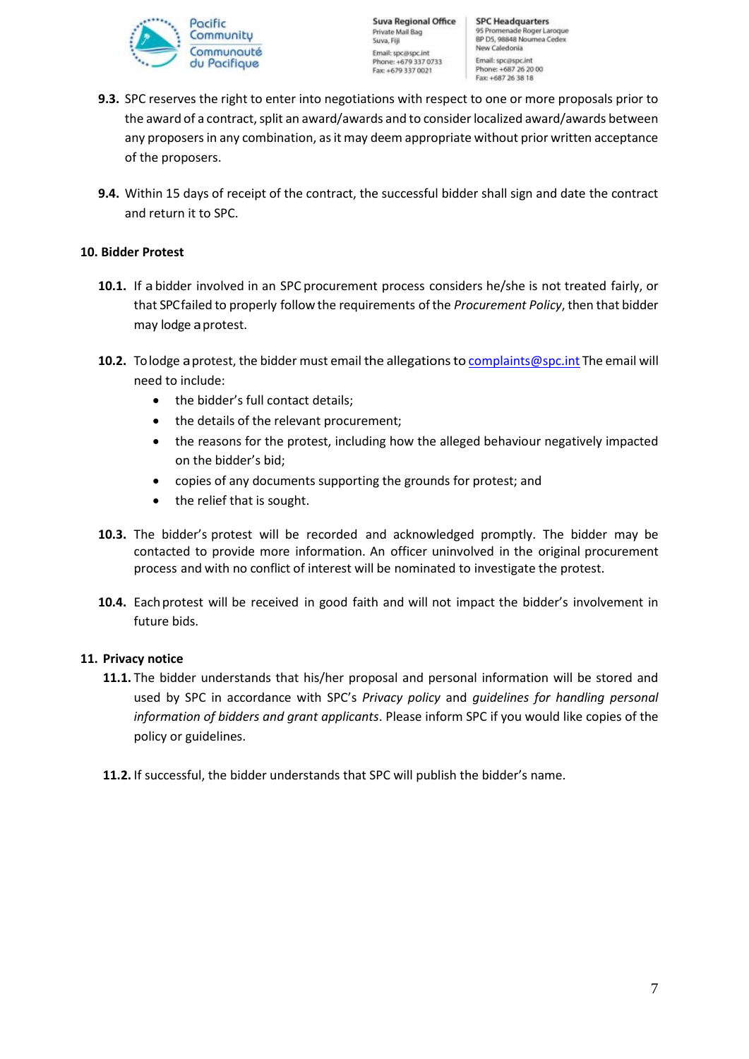

- **9.3.** SPC reserves the right to enter into negotiations with respect to one or more proposals prior to the award of a contract, split an award/awards and to consider localized award/awards between any proposers in any combination, as it may deem appropriate without prior written acceptance of the proposers.
- **9.4.** Within 15 days of receipt of the contract, the successful bidder shall sign and date the contract and return it to SPC.

#### **10. Bidder Protest**

- **10.1.** If abidder involved in an SPC procurement process considers he/she is not treated fairly, or that SPCfailed to properly follow the requirements ofthe *Procurement Policy*, then that bidder may lodge aprotest.
- 10.2. To lodge a protest, the bidder must email the allegations t[o complaints@spc.int](mailto:complaints@spc.int) The email will need to include:
	- the bidder's full contact details;
	- the details of the relevant procurement;
	- the reasons for the protest, including how the alleged behaviour negatively impacted on the bidder's bid;
	- copies of any documents supporting the grounds for protest; and
	- the relief that is sought.
- **10.3.** The bidder's protest will be recorded and acknowledged promptly. The bidder may be contacted to provide more information. An officer uninvolved in the original procurement process and with no conflict of interest will be nominated to investigate the protest.
- 10.4. Each protest will be received in good faith and will not impact the bidder's involvement in future bids.

## **11. Privacy notice**

- **11.1.** The bidder understands that his/her proposal and personal information will be stored and used by SPC in accordance with SPC's *Privacy policy* and *guidelines for handling personal information of bidders and grant applicants*. Please inform SPC if you would like copies of the policy or guidelines.
- **11.2.** If successful, the bidder understands that SPC will publish the bidder's name.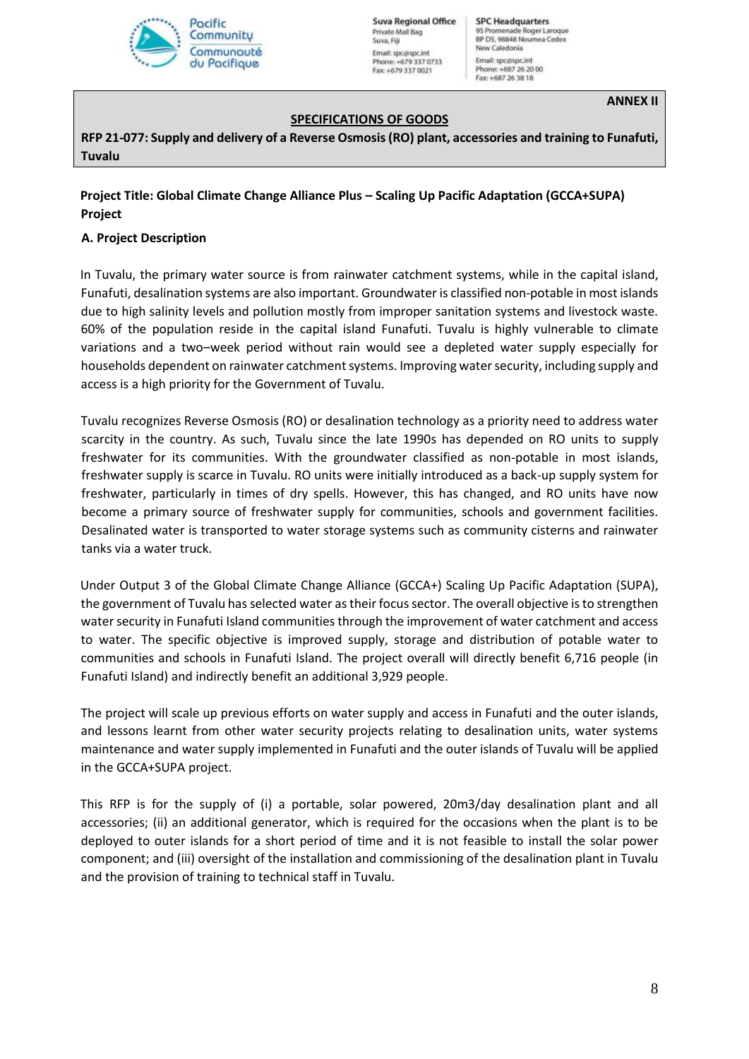

**Suva Regional Office** Private Mail Bag Suva, Fill Email: spc@spc.int Phone: +679 337 0733 Fax: +679 337 0021

**SPC Headquarters** 95 Promenade Roger Laroque<br>BP D5, 98848 Noumea Cedex New Caledonia Email: spc@spc.int Phone: +687 26 20 00<br>Fax: +687 26 38 18

**ANNEX II**

### **SPECIFICATIONS OF GOODS**

**RFP 21-077: Supply and delivery of a Reverse Osmosis (RO) plant, accessories and training to Funafuti, Tuvalu**

# **Project Title: Global Climate Change Alliance Plus – Scaling Up Pacific Adaptation (GCCA+SUPA) Project**

#### **A. Project Description**

In Tuvalu, the primary water source is from rainwater catchment systems, while in the capital island, Funafuti, desalination systems are also important. Groundwater is classified non-potable in most islands due to high salinity levels and pollution mostly from improper sanitation systems and livestock waste. 60% of the population reside in the capital island Funafuti. Tuvalu is highly vulnerable to climate variations and a two–week period without rain would see a depleted water supply especially for households dependent on rainwater catchment systems. Improving water security, including supply and access is a high priority for the Government of Tuvalu.

Tuvalu recognizes Reverse Osmosis (RO) or desalination technology as a priority need to address water scarcity in the country. As such, Tuvalu since the late 1990s has depended on RO units to supply freshwater for its communities. With the groundwater classified as non-potable in most islands, freshwater supply is scarce in Tuvalu. RO units were initially introduced as a back-up supply system for freshwater, particularly in times of dry spells. However, this has changed, and RO units have now become a primary source of freshwater supply for communities, schools and government facilities. Desalinated water is transported to water storage systems such as community cisterns and rainwater tanks via a water truck.

Under Output 3 of the Global Climate Change Alliance (GCCA+) Scaling Up Pacific Adaptation (SUPA), the government of Tuvalu has selected water as their focussector. The overall objective is to strengthen water security in Funafuti Island communities through the improvement of water catchment and access to water. The specific objective is improved supply, storage and distribution of potable water to communities and schools in Funafuti Island. The project overall will directly benefit 6,716 people (in Funafuti Island) and indirectly benefit an additional 3,929 people.

The project will scale up previous efforts on water supply and access in Funafuti and the outer islands, and lessons learnt from other water security projects relating to desalination units, water systems maintenance and water supply implemented in Funafuti and the outer islands of Tuvalu will be applied in the GCCA+SUPA project.

This RFP is for the supply of (i) a portable, solar powered, 20m3/day desalination plant and all accessories; (ii) an additional generator, which is required for the occasions when the plant is to be deployed to outer islands for a short period of time and it is not feasible to install the solar power component; and (iii) oversight of the installation and commissioning of the desalination plant in Tuvalu and the provision of training to technical staff in Tuvalu.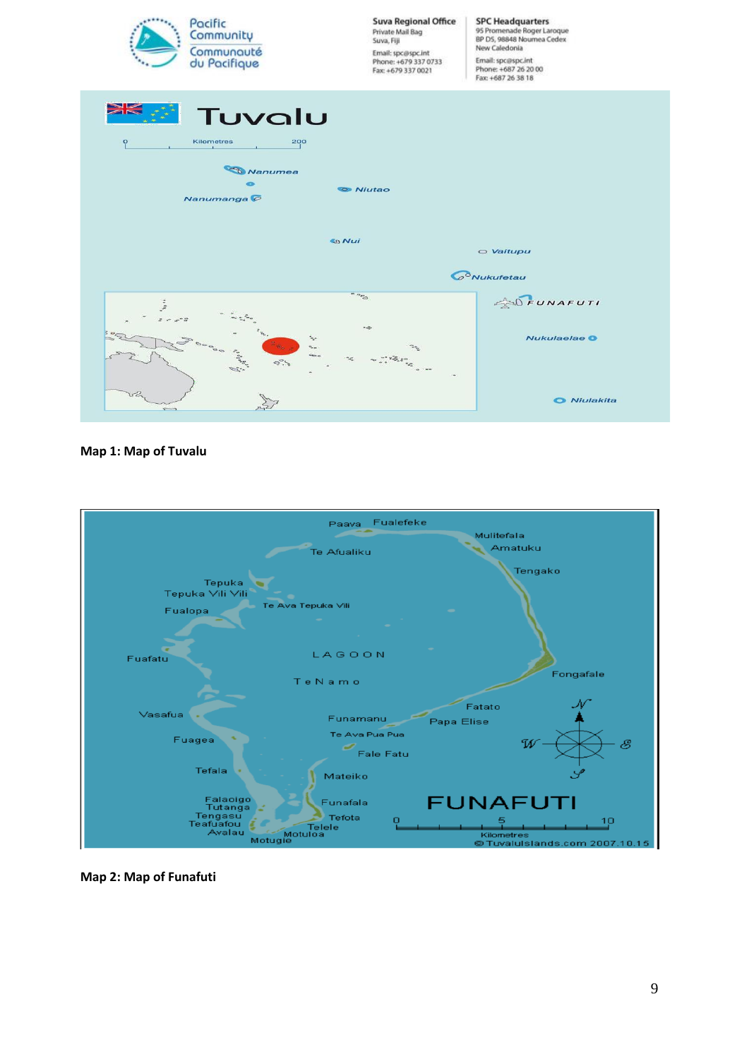

#### **Map 1: Map of Tuvalu**



**Map 2: Map of Funafuti**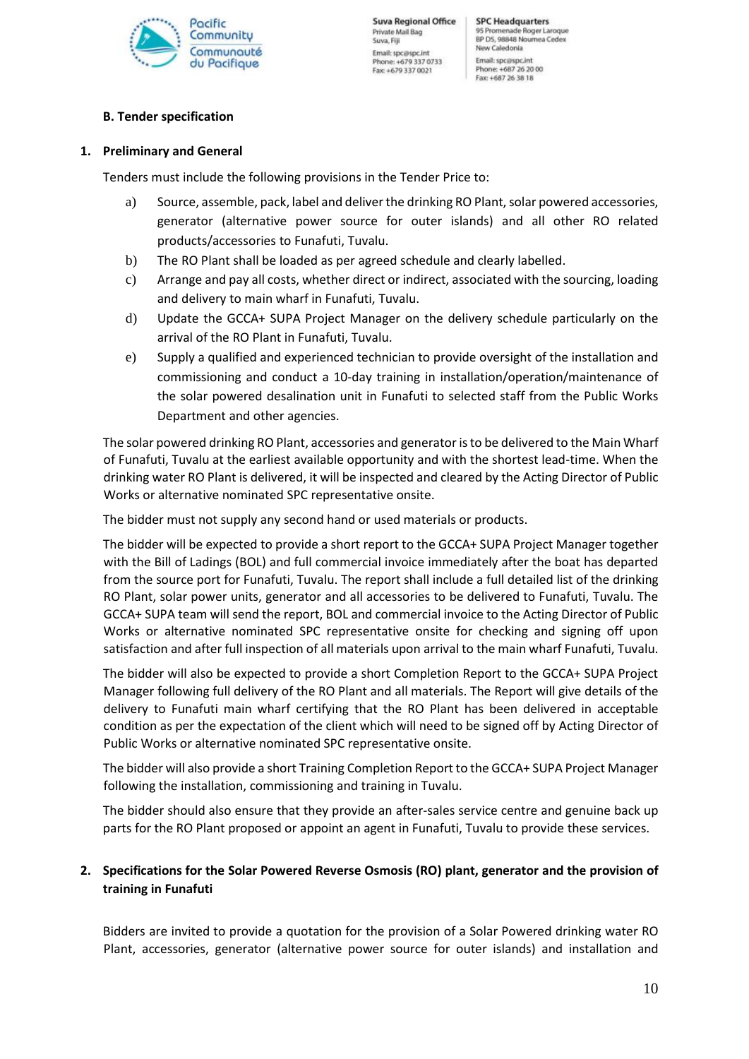

# **B. Tender specification**

## **1. Preliminary and General**

Tenders must include the following provisions in the Tender Price to:

- a) Source, assemble, pack, label and deliver the drinking RO Plant, solar powered accessories, generator (alternative power source for outer islands) and all other RO related products/accessories to Funafuti, Tuvalu.
- b) The RO Plant shall be loaded as per agreed schedule and clearly labelled.
- c) Arrange and pay all costs, whether direct or indirect, associated with the sourcing, loading and delivery to main wharf in Funafuti, Tuvalu.
- d) Update the GCCA+ SUPA Project Manager on the delivery schedule particularly on the arrival of the RO Plant in Funafuti, Tuvalu.
- e) Supply a qualified and experienced technician to provide oversight of the installation and commissioning and conduct a 10-day training in installation/operation/maintenance of the solar powered desalination unit in Funafuti to selected staff from the Public Works Department and other agencies.

The solar powered drinking RO Plant, accessories and generator isto be delivered to the Main Wharf of Funafuti, Tuvalu at the earliest available opportunity and with the shortest lead-time. When the drinking water RO Plant is delivered, it will be inspected and cleared by the Acting Director of Public Works or alternative nominated SPC representative onsite.

The bidder must not supply any second hand or used materials or products.

The bidder will be expected to provide a short report to the GCCA+ SUPA Project Manager together with the Bill of Ladings (BOL) and full commercial invoice immediately after the boat has departed from the source port for Funafuti, Tuvalu. The report shall include a full detailed list of the drinking RO Plant, solar power units, generator and all accessories to be delivered to Funafuti, Tuvalu. The GCCA+ SUPA team will send the report, BOL and commercial invoice to the Acting Director of Public Works or alternative nominated SPC representative onsite for checking and signing off upon satisfaction and after full inspection of all materials upon arrival to the main wharf Funafuti, Tuvalu.

The bidder will also be expected to provide a short Completion Report to the GCCA+ SUPA Project Manager following full delivery of the RO Plant and all materials. The Report will give details of the delivery to Funafuti main wharf certifying that the RO Plant has been delivered in acceptable condition as per the expectation of the client which will need to be signed off by Acting Director of Public Works or alternative nominated SPC representative onsite.

The bidder will also provide a short Training Completion Report to the GCCA+ SUPA Project Manager following the installation, commissioning and training in Tuvalu.

The bidder should also ensure that they provide an after-sales service centre and genuine back up parts for the RO Plant proposed or appoint an agent in Funafuti, Tuvalu to provide these services.

# **2. Specifications for the Solar Powered Reverse Osmosis (RO) plant, generator and the provision of training in Funafuti**

Bidders are invited to provide a quotation for the provision of a Solar Powered drinking water RO Plant, accessories, generator (alternative power source for outer islands) and installation and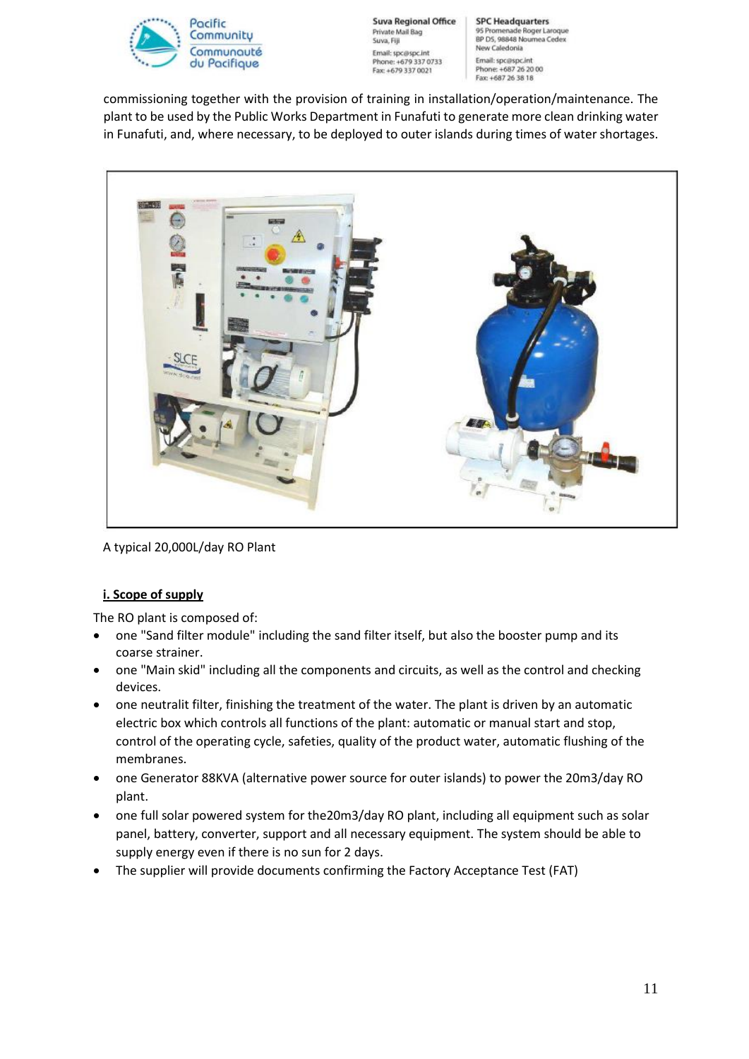

**Suva Regional Office** Private Mail Bag Suva, Fill Email: spc@spc.int Phone: +679 337 0733 Fax: +679 337 0021

**SPC Headquarters** 95 Promenade Roger Laroque<br>BP D5, 98848 Noumea Cedex New Caledonia Email: spc@spc.int Phone: +687 26 20 00<br>Fax: +687 26 38 18

commissioning together with the provision of training in installation/operation/maintenance. The plant to be used by the Public Works Department in Funafuti to generate more clean drinking water in Funafuti, and, where necessary, to be deployed to outer islands during times of water shortages.



A typical 20,000L/day RO Plant

## **i. Scope of supply**

The RO plant is composed of:

- one "Sand filter module" including the sand filter itself, but also the booster pump and its coarse strainer.
- one "Main skid" including all the components and circuits, as well as the control and checking devices.
- one neutralit filter, finishing the treatment of the water. The plant is driven by an automatic electric box which controls all functions of the plant: automatic or manual start and stop, control of the operating cycle, safeties, quality of the product water, automatic flushing of the membranes.
- one Generator 88KVA (alternative power source for outer islands) to power the 20m3/day RO plant.
- one full solar powered system for the20m3/day RO plant, including all equipment such as solar panel, battery, converter, support and all necessary equipment. The system should be able to supply energy even if there is no sun for 2 days.
- The supplier will provide documents confirming the Factory Acceptance Test (FAT)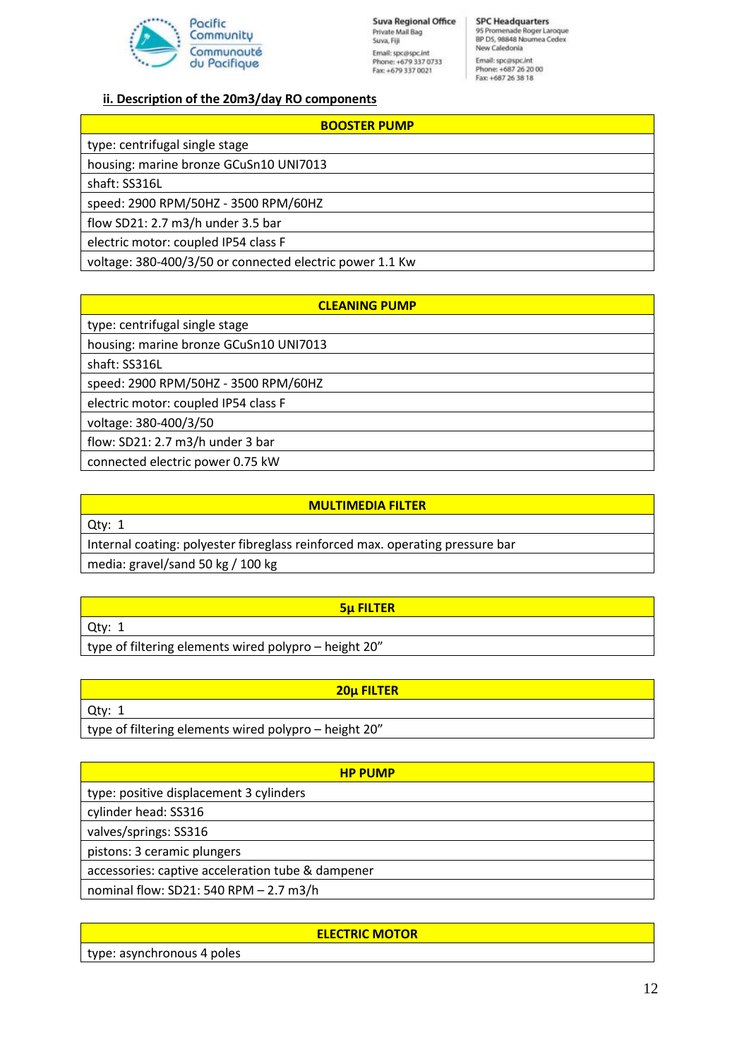

#### **ii. Description of the 20m3/day RO components**

#### **BOOSTER PUMP**

type: centrifugal single stage housing: marine bronze GCuSn10 UNI7013

shaft: SS316L

speed: 2900 RPM/50HZ - 3500 RPM/60HZ

flow SD21: 2.7 m3/h under 3.5 bar

electric motor: coupled IP54 class F

voltage: 380-400/3/50 or connected electric power 1.1 Kw

#### **MULTIMEDIA FILTER**

Qty: 1 Internal coating: polyester fibreglass reinforced max. operating pressure bar

media: gravel/sand 50 kg / 100 kg

Qty: 1

# **5μ FILTER**

type of filtering elements wired polypro – height 20"

| <b>20u FILTER</b>                                     |
|-------------------------------------------------------|
| Qty:                                                  |
| type of filtering elements wired polypro – height 20" |

| <b>HP PUMP</b>                                    |
|---------------------------------------------------|
| type: positive displacement 3 cylinders           |
| cylinder head: SS316                              |
| valves/springs: SS316                             |
| pistons: 3 ceramic plungers                       |
| accessories: captive acceleration tube & dampener |
| nominal flow: SD21: 540 RPM - 2.7 m3/h            |

#### **ELECTRIC MOTOR**

type: asynchronous 4 poles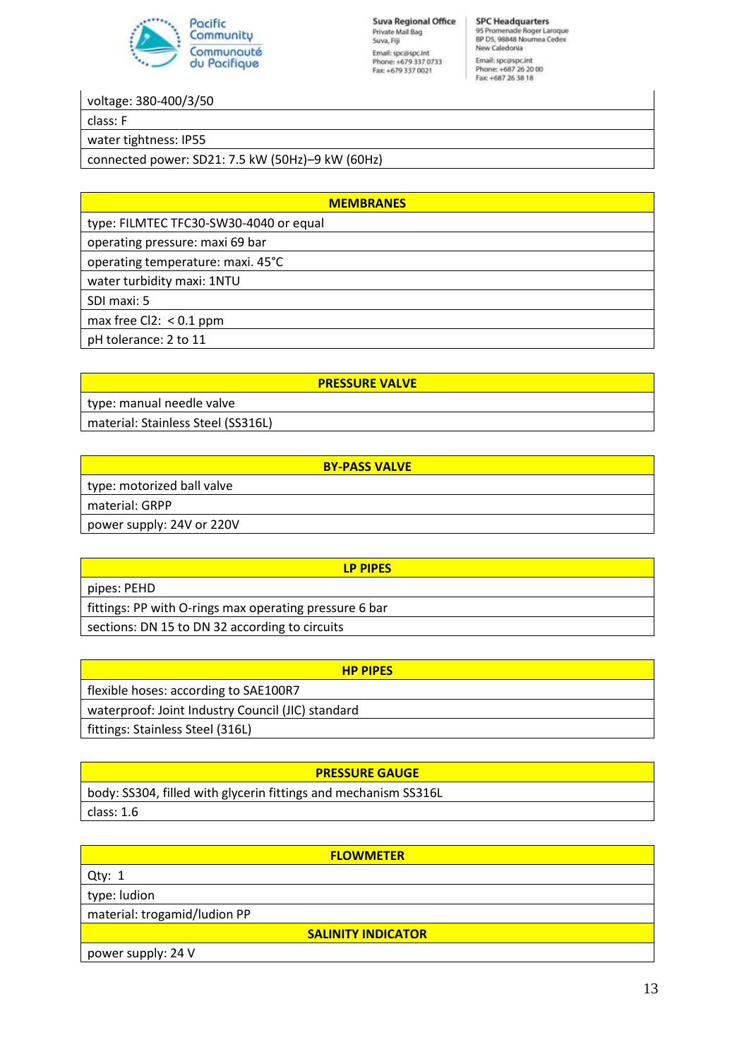

**Suva Regional Office** Private Mail Bag Suva, Fiji Email: spc@spc.int<br>Phone: +679 337 0733<br>Fax: +679 337 0021

**SPC Headquarters** 95 Promenade Roger Laroque<br>BP D5, 98848 Noumea Cedex New Caledonia Email: spc@spc.int<br>Phone: +687 26 20 00<br>Fax: +687 26 38 18

voltage: 380-400/3/50

class: F

water tightness: IP55

connected power: SD21: 7.5 kW (50Hz)–9 kW (60Hz)

**MEMBRANES** type: FILMTEC TFC30-SW30-4040 or equal operating pressure: maxi 69 bar operating temperature: maxi. 45°C water turbidity maxi: 1NTU SDI maxi: 5 max free Cl2: < 0.1 ppm pH tolerance: 2 to 11

|                                    | <b>PRESSURE VALVE</b> |
|------------------------------------|-----------------------|
| type: manual needle valve          |                       |
| material: Stainless Steel (SS316L) |                       |
|                                    |                       |

| <b>BY-PASS VALVE</b>       |
|----------------------------|
| type: motorized ball valve |
| material: GRPP             |
| power supply: 24V or 220V  |

| <b>LP PIPES</b>                                        |
|--------------------------------------------------------|
| pipes: PEHD                                            |
| fittings: PP with O-rings max operating pressure 6 bar |
| sections: DN 15 to DN 32 according to circuits         |

| <b>HP PIPFS</b>                                   |
|---------------------------------------------------|
| flexible hoses: according to SAE100R7             |
| waterproof: Joint Industry Council (JIC) standard |
| fittings: Stainless Steel (316L)                  |

| <b>PRESSURE GAUGE</b>                                           |
|-----------------------------------------------------------------|
| body: SS304, filled with glycerin fittings and mechanism SS316L |
| class: 1.6                                                      |

| <b>FLOWMETER</b>             |  |  |
|------------------------------|--|--|
| Qty: $1$                     |  |  |
| type: ludion                 |  |  |
| material: trogamid/ludion PP |  |  |
| <b>SALINITY INDICATOR</b>    |  |  |
| power supply: 24 V           |  |  |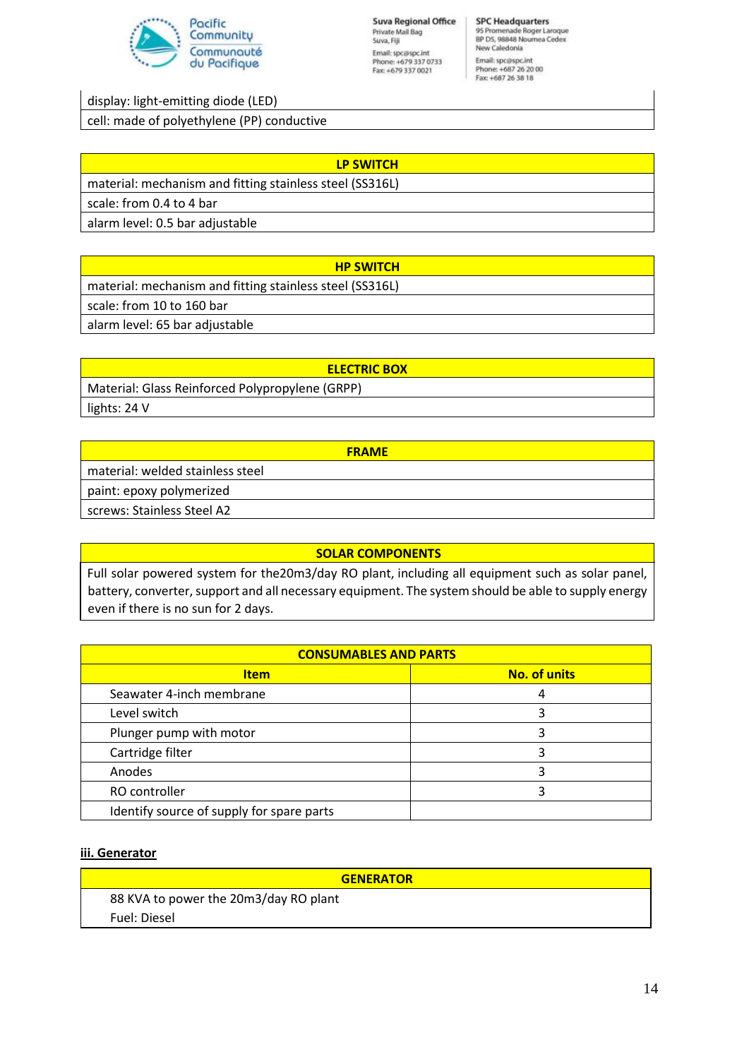

display: light-emitting diode (LED)

cell: made of polyethylene (PP) conductive

| <b>LP SWITCH</b>                                         |  |
|----------------------------------------------------------|--|
| material: mechanism and fitting stainless steel (SS316L) |  |
| scale: from 0.4 to 4 bar                                 |  |
| alarm level: 0.5 bar adjustable                          |  |
|                                                          |  |

| <b>HP SWITCH</b>                                         |
|----------------------------------------------------------|
| material: mechanism and fitting stainless steel (SS316L) |
| scale: from 10 to 160 bar                                |
| alarm level: 65 bar adjustable                           |

| <b>ELECTRIC BOX</b>                             |
|-------------------------------------------------|
| Material: Glass Reinforced Polypropylene (GRPP) |
| lights: 24 V                                    |

| <b>FRAME</b>                     |
|----------------------------------|
| material: welded stainless steel |
| paint: epoxy polymerized         |
| screws: Stainless Steel A2       |

#### **SOLAR COMPONENTS**

Full solar powered system for the20m3/day RO plant, including all equipment such as solar panel, battery, converter, support and all necessary equipment. The system should be able to supply energy even if there is no sun for 2 days.

| <b>CONSUMABLES AND PARTS</b>              |                     |  |
|-------------------------------------------|---------------------|--|
| <b>Item</b>                               | <b>No. of units</b> |  |
| Seawater 4-inch membrane                  | 4                   |  |
| Level switch                              |                     |  |
| Plunger pump with motor                   |                     |  |
| Cartridge filter                          |                     |  |
| Anodes                                    |                     |  |
| RO controller                             |                     |  |
| Identify source of supply for spare parts |                     |  |

#### **iii. Generator**

| <b>GENERATOR</b>                      |
|---------------------------------------|
| 88 KVA to power the 20m3/day RO plant |
| Fuel: Diesel                          |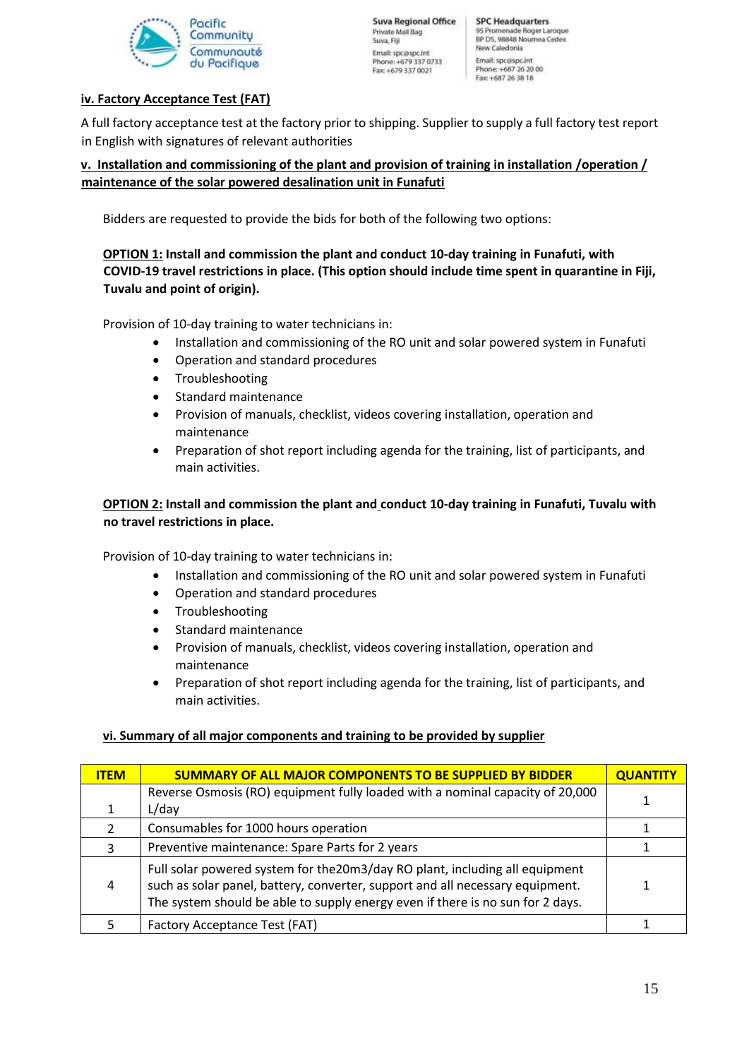

## **iv. Factory Acceptance Test (FAT)**

A full factory acceptance test at the factory prior to shipping. Supplier to supply a full factory test report in English with signatures of relevant authorities

### **v. Installation and commissioning of the plant and provision of training in installation /operation / maintenance of the solar powered desalination unit in Funafuti**

Bidders are requested to provide the bids for both of the following two options:

# **OPTION 1: Install and commission the plant and conduct 10-day training in Funafuti, with COVID-19 travel restrictions in place. (This option should include time spent in quarantine in Fiji, Tuvalu and point of origin).**

Provision of 10-day training to water technicians in:

- Installation and commissioning of the RO unit and solar powered system in Funafuti
- Operation and standard procedures
- Troubleshooting
- Standard maintenance
- Provision of manuals, checklist, videos covering installation, operation and maintenance
- Preparation of shot report including agenda for the training, list of participants, and main activities.

# **OPTION 2: Install and commission the plant and conduct 10-day training in Funafuti, Tuvalu with no travel restrictions in place.**

Provision of 10-day training to water technicians in:

- Installation and commissioning of the RO unit and solar powered system in Funafuti
- Operation and standard procedures
- Troubleshooting
- Standard maintenance
- Provision of manuals, checklist, videos covering installation, operation and maintenance
- Preparation of shot report including agenda for the training, list of participants, and main activities.

## **vi. Summary of all major components and training to be provided by supplier**

| <b>ITEM</b>   | <b>SUMMARY OF ALL MAJOR COMPONENTS TO BE SUPPLIED BY BIDDER</b>                                                                                                                                                                                 | <b>QUANTITY</b> |
|---------------|-------------------------------------------------------------------------------------------------------------------------------------------------------------------------------------------------------------------------------------------------|-----------------|
|               | Reverse Osmosis (RO) equipment fully loaded with a nominal capacity of 20,000                                                                                                                                                                   |                 |
|               | L/day                                                                                                                                                                                                                                           |                 |
| $\mathcal{P}$ | Consumables for 1000 hours operation                                                                                                                                                                                                            |                 |
| 3             | Preventive maintenance: Spare Parts for 2 years                                                                                                                                                                                                 |                 |
| 4             | Full solar powered system for the 20m3/day RO plant, including all equipment<br>such as solar panel, battery, converter, support and all necessary equipment.<br>The system should be able to supply energy even if there is no sun for 2 days. |                 |
|               | Factory Acceptance Test (FAT)                                                                                                                                                                                                                   |                 |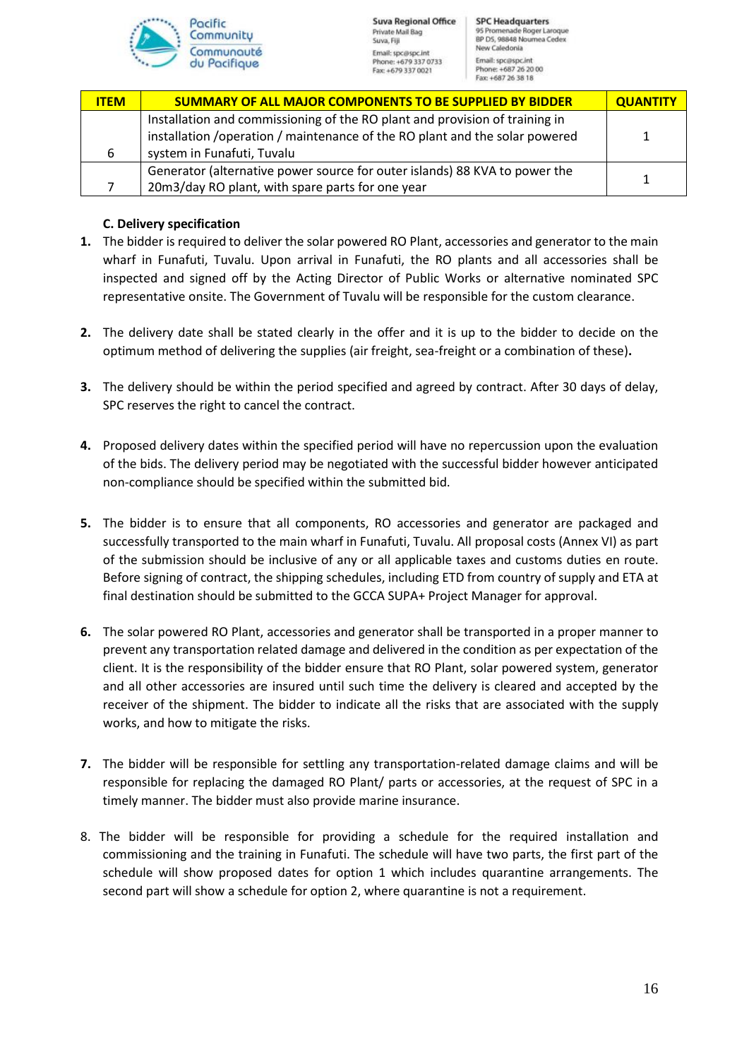

| <b>ITEM</b> | <b>SUMMARY OF ALL MAJOR COMPONENTS TO BE SUPPLIED BY BIDDER</b>              | <b>QUANTITY</b> |
|-------------|------------------------------------------------------------------------------|-----------------|
|             | Installation and commissioning of the RO plant and provision of training in  |                 |
|             | installation / operation / maintenance of the RO plant and the solar powered | 1               |
| 6           | system in Funafuti, Tuvalu                                                   |                 |
|             | Generator (alternative power source for outer islands) 88 KVA to power the   |                 |
|             | 20m3/day RO plant, with spare parts for one year                             |                 |

## **C. Delivery specification**

- **1.** The bidder is required to deliver the solar powered RO Plant, accessories and generator to the main wharf in Funafuti, Tuvalu. Upon arrival in Funafuti, the RO plants and all accessories shall be inspected and signed off by the Acting Director of Public Works or alternative nominated SPC representative onsite. The Government of Tuvalu will be responsible for the custom clearance.
- **2.** The delivery date shall be stated clearly in the offer and it is up to the bidder to decide on the optimum method of delivering the supplies (air freight, sea-freight or a combination of these)**.**
- **3.** The delivery should be within the period specified and agreed by contract. After 30 days of delay, SPC reserves the right to cancel the contract.
- **4.** Proposed delivery dates within the specified period will have no repercussion upon the evaluation of the bids. The delivery period may be negotiated with the successful bidder however anticipated non-compliance should be specified within the submitted bid.
- **5.** The bidder is to ensure that all components, RO accessories and generator are packaged and successfully transported to the main wharf in Funafuti, Tuvalu. All proposal costs (Annex VI) as part of the submission should be inclusive of any or all applicable taxes and customs duties en route. Before signing of contract, the shipping schedules, including ETD from country of supply and ETA at final destination should be submitted to the GCCA SUPA+ Project Manager for approval.
- **6.** The solar powered RO Plant, accessories and generator shall be transported in a proper manner to prevent any transportation related damage and delivered in the condition as per expectation of the client. It is the responsibility of the bidder ensure that RO Plant, solar powered system, generator and all other accessories are insured until such time the delivery is cleared and accepted by the receiver of the shipment. The bidder to indicate all the risks that are associated with the supply works, and how to mitigate the risks.
- **7.** The bidder will be responsible for settling any transportation-related damage claims and will be responsible for replacing the damaged RO Plant/ parts or accessories, at the request of SPC in a timely manner. The bidder must also provide marine insurance.
- 8. The bidder will be responsible for providing a schedule for the required installation and commissioning and the training in Funafuti. The schedule will have two parts, the first part of the schedule will show proposed dates for option 1 which includes quarantine arrangements. The second part will show a schedule for option 2, where quarantine is not a requirement.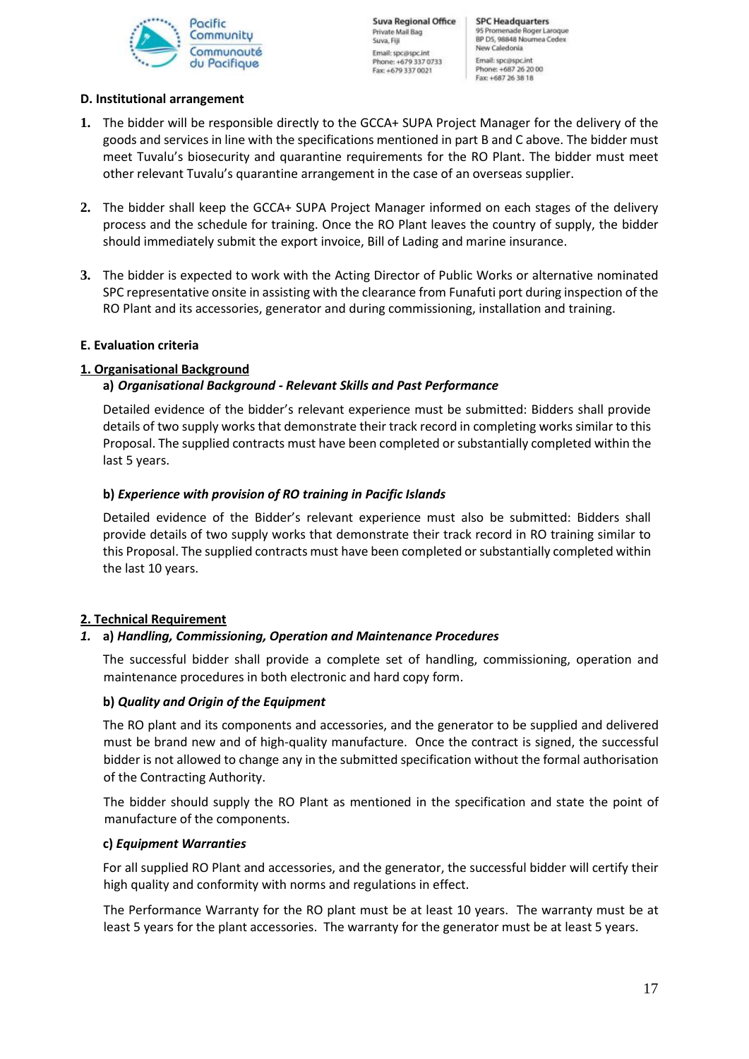

#### **D. Institutional arrangement**

- **1.** The bidder will be responsible directly to the GCCA+ SUPA Project Manager for the delivery of the goods and services in line with the specifications mentioned in part B and C above. The bidder must meet Tuvalu's biosecurity and quarantine requirements for the RO Plant. The bidder must meet other relevant Tuvalu's quarantine arrangement in the case of an overseas supplier.
- **2.** The bidder shall keep the GCCA+ SUPA Project Manager informed on each stages of the delivery process and the schedule for training. Once the RO Plant leaves the country of supply, the bidder should immediately submit the export invoice, Bill of Lading and marine insurance.
- **3.** The bidder is expected to work with the Acting Director of Public Works or alternative nominated SPC representative onsite in assisting with the clearance from Funafuti port during inspection of the RO Plant and its accessories, generator and during commissioning, installation and training.

#### **E. Evaluation criteria**

#### **1. Organisational Background**

#### **a)** *Organisational Background - Relevant Skills and Past Performance*

Detailed evidence of the bidder's relevant experience must be submitted: Bidders shall provide details of two supply works that demonstrate their track record in completing works similar to this Proposal. The supplied contracts must have been completed or substantially completed within the last 5 years.

#### **b)** *Experience with provision of RO training in Pacific Islands*

Detailed evidence of the Bidder's relevant experience must also be submitted: Bidders shall provide details of two supply works that demonstrate their track record in RO training similar to this Proposal. The supplied contracts must have been completed or substantially completed within the last 10 years.

#### **2. Technical Requirement**

#### *1.* **a)** *Handling, Commissioning, Operation and Maintenance Procedures*

The successful bidder shall provide a complete set of handling, commissioning, operation and maintenance procedures in both electronic and hard copy form.

#### **b)** *Quality and Origin of the Equipment*

The RO plant and its components and accessories, and the generator to be supplied and delivered must be brand new and of high-quality manufacture. Once the contract is signed, the successful bidder is not allowed to change any in the submitted specification without the formal authorisation of the Contracting Authority.

The bidder should supply the RO Plant as mentioned in the specification and state the point of manufacture of the components.

#### **c)** *Equipment Warranties*

For all supplied RO Plant and accessories, and the generator, the successful bidder will certify their high quality and conformity with norms and regulations in effect.

The Performance Warranty for the RO plant must be at least 10 years. The warranty must be at least 5 years for the plant accessories. The warranty for the generator must be at least 5 years.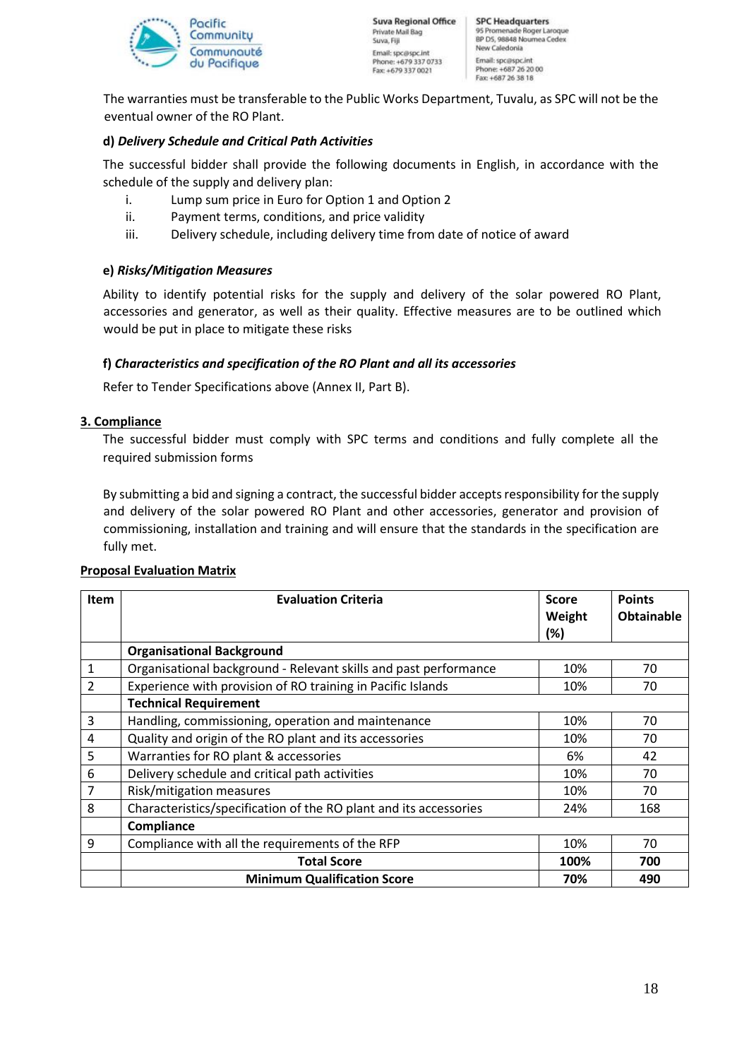

The warranties must be transferable to the Public Works Department, Tuvalu, as SPC will not be the eventual owner of the RO Plant.

### **d)** *Delivery Schedule and Critical Path Activities*

The successful bidder shall provide the following documents in English, in accordance with the schedule of the supply and delivery plan:

- i. Lump sum price in Euro for Option 1 and Option 2
- ii. Payment terms, conditions, and price validity
- iii. Delivery schedule, including delivery time from date of notice of award

#### **e)** *Risks/Mitigation Measures*

Ability to identify potential risks for the supply and delivery of the solar powered RO Plant, accessories and generator, as well as their quality. Effective measures are to be outlined which would be put in place to mitigate these risks

#### **f)** *Characteristics and specification of the RO Plant and all its accessories*

Refer to Tender Specifications above (Annex II, Part B).

#### **3. Compliance**

The successful bidder must comply with SPC terms and conditions and fully complete all the required submission forms

By submitting a bid and signing a contract, the successful bidder accepts responsibility for the supply and delivery of the solar powered RO Plant and other accessories, generator and provision of commissioning, installation and training and will ensure that the standards in the specification are fully met.

| <b>Item</b>    | <b>Evaluation Criteria</b>                                        | <b>Score</b><br>Weight<br>(%) | <b>Points</b><br><b>Obtainable</b> |
|----------------|-------------------------------------------------------------------|-------------------------------|------------------------------------|
|                | <b>Organisational Background</b>                                  |                               |                                    |
| 1              | Organisational background - Relevant skills and past performance  | 10%                           | 70                                 |
| $\overline{2}$ | Experience with provision of RO training in Pacific Islands       | 10%                           | 70                                 |
|                | <b>Technical Requirement</b>                                      |                               |                                    |
| 3              | Handling, commissioning, operation and maintenance                | 10%                           | 70                                 |
| 4              | Quality and origin of the RO plant and its accessories            | 10%                           | 70                                 |
| 5              | Warranties for RO plant & accessories                             | 6%                            | 42                                 |
| 6              | Delivery schedule and critical path activities                    | 10%                           | 70                                 |
| 7              | Risk/mitigation measures                                          | 10%                           | 70                                 |
| 8              | Characteristics/specification of the RO plant and its accessories | 24%                           | 168                                |
|                | Compliance                                                        |                               |                                    |
| 9              | Compliance with all the requirements of the RFP                   | 10%                           | 70                                 |
|                | <b>Total Score</b>                                                | 100%                          | 700                                |
|                | <b>Minimum Qualification Score</b>                                | 70%                           | 490                                |

#### **Proposal Evaluation Matrix**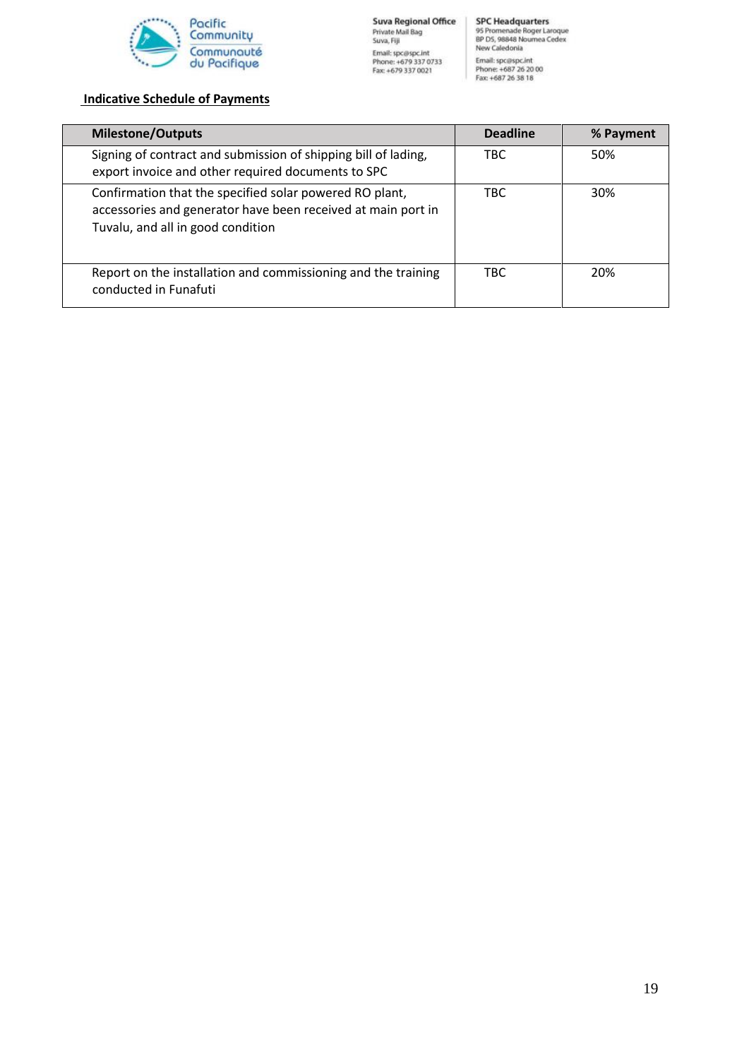

# **Indicative Schedule of Payments**

| <b>Milestone/Outputs</b>                                                                                                                                     | <b>Deadline</b> | % Payment |
|--------------------------------------------------------------------------------------------------------------------------------------------------------------|-----------------|-----------|
| Signing of contract and submission of shipping bill of lading,<br>export invoice and other required documents to SPC                                         | TBC.            | 50%       |
| Confirmation that the specified solar powered RO plant,<br>accessories and generator have been received at main port in<br>Tuvalu, and all in good condition | <b>TBC</b>      | 30%       |
| Report on the installation and commissioning and the training<br>conducted in Funafuti                                                                       | <b>TBC</b>      | 20%       |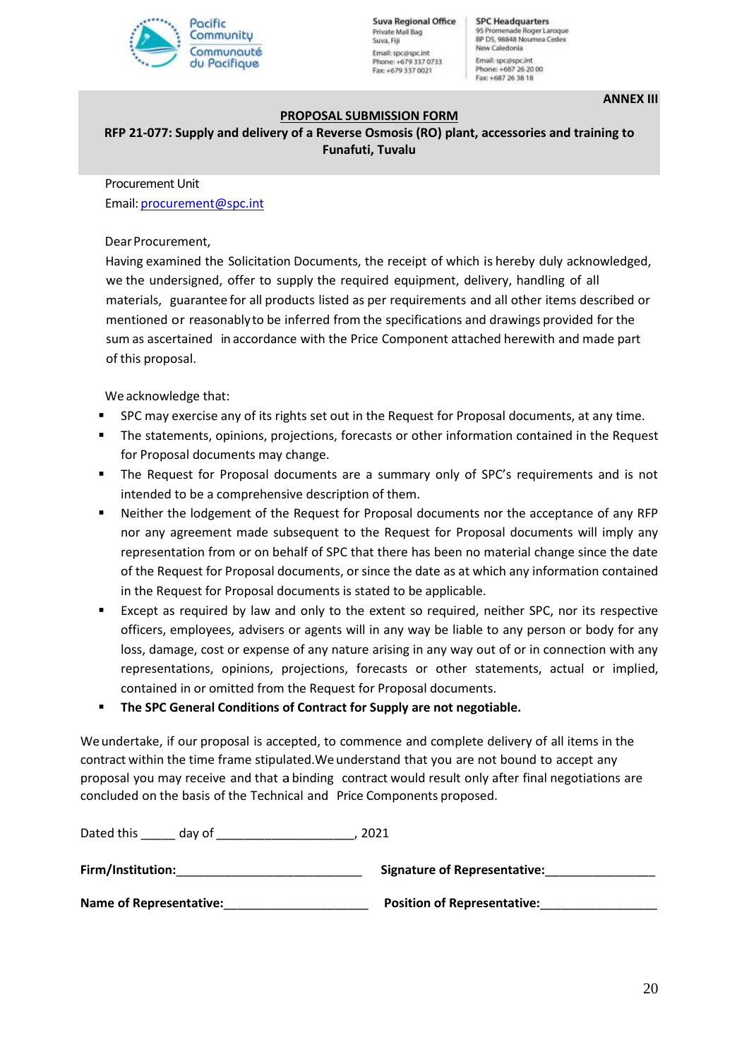

**Suva Regional Office** Private Mail Bag Suva, Fill Email: spc@spc.int Phone: +679 337 0733 Fax: +679 337 0021

**SPC Headquarters** 95 Promenade Roger Laroque<br>BP D5, 98848 Noumea Cedex New Caledonia Email: spc@spc.int Phone: +687 26 20 00<br>Fax: +687 26 38 18

**ANNEX III**

#### **PROPOSAL SUBMISSION FORM**

**RFP 21-077: Supply and delivery of a Reverse Osmosis (RO) plant, accessories and training to Funafuti, Tuvalu**

Procurement Unit

Email: procurement@spc.int

Dear Procurement,

Having examined the Solicitation Documents, the receipt of which is hereby duly acknowledged, we the undersigned, offer to supply the required equipment, delivery, handling of all materials, guarantee for all products listed as per requirements and all other items described or mentioned or reasonablyto be inferred from the specifications and drawings provided for the sum as ascertained in accordance with the Price Component attached herewith and made part of this proposal.

We acknowledge that:

- SPC may exercise any of its rights set out in the Request for Proposal documents, at any time.
- The statements, opinions, projections, forecasts or other information contained in the Request for Proposal documents may change.
- The Request for Proposal documents are a summary only of SPC's requirements and is not intended to be a comprehensive description of them.
- Neither the lodgement of the Request for Proposal documents nor the acceptance of any RFP nor any agreement made subsequent to the Request for Proposal documents will imply any representation from or on behalf of SPC that there has been no material change since the date of the Request for Proposal documents, or since the date as at which any information contained in the Request for Proposal documents is stated to be applicable.
- Except as required by law and only to the extent so required, neither SPC, nor its respective officers, employees, advisers or agents will in any way be liable to any person or body for any loss, damage, cost or expense of any nature arising in any way out of or in connection with any representations, opinions, projections, forecasts or other statements, actual or implied, contained in or omitted from the Request for Proposal documents.
- **The SPC General Conditions of Contract for Supply are not negotiable.**

We undertake, if our proposal is accepted, to commence and complete delivery of all items in the contract within the time frame stipulated.We understand that you are not bound to accept any proposal you may receive and that abinding contract would result only after final negotiations are concluded on the basis of the Technical and Price Components proposed.

| Dated this<br>day of           | 2021                                |
|--------------------------------|-------------------------------------|
| Firm/Institution:              | <b>Signature of Representative:</b> |
| <b>Name of Representative:</b> | <b>Position of Representative:</b>  |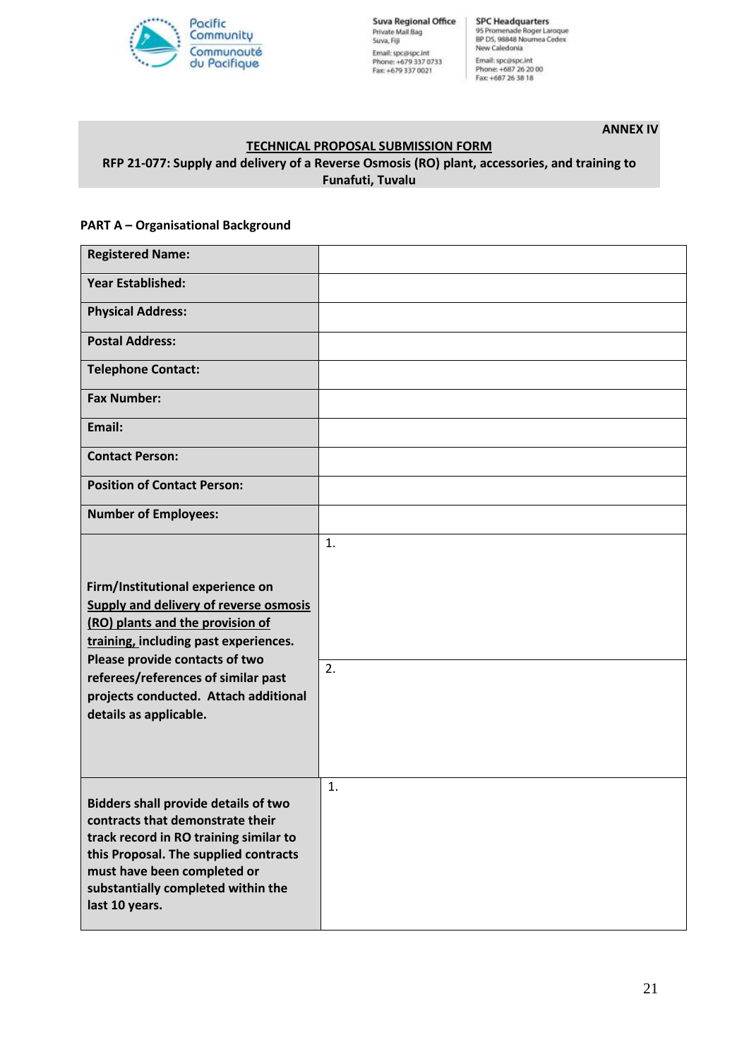

**Suva Regional Office** Private Mail Bag<br>Suva, Fiji Email: spc@spc.int<br>Phone: +679 337 0733<br>Fax: +679 337 0021

SPC Headquarters<br>95 Promenade Roger Laroque<br>BP D5, 98848 Noumea Cedex New Caledonia Email: spc@spc.int<br>Phone: +687 26 20 00<br>Fax: +687 26 38 18

**ANNEX IV**

## **TECHNICAL PROPOSAL SUBMISSION FORM RFP 21-077: Supply and delivery of a Reverse Osmosis (RO) plant, accessories, and training to Funafuti, Tuvalu**

#### **PART A – Organisational Background**

| <b>Registered Name:</b>                                                                                                                                                                                                                                                                                    |          |
|------------------------------------------------------------------------------------------------------------------------------------------------------------------------------------------------------------------------------------------------------------------------------------------------------------|----------|
| <b>Year Established:</b>                                                                                                                                                                                                                                                                                   |          |
| <b>Physical Address:</b>                                                                                                                                                                                                                                                                                   |          |
| <b>Postal Address:</b>                                                                                                                                                                                                                                                                                     |          |
| <b>Telephone Contact:</b>                                                                                                                                                                                                                                                                                  |          |
| <b>Fax Number:</b>                                                                                                                                                                                                                                                                                         |          |
| Email:                                                                                                                                                                                                                                                                                                     |          |
| <b>Contact Person:</b>                                                                                                                                                                                                                                                                                     |          |
| <b>Position of Contact Person:</b>                                                                                                                                                                                                                                                                         |          |
| <b>Number of Employees:</b>                                                                                                                                                                                                                                                                                |          |
| Firm/Institutional experience on<br><b>Supply and delivery of reverse osmosis</b><br>(RO) plants and the provision of<br>training, including past experiences.<br>Please provide contacts of two<br>referees/references of similar past<br>projects conducted. Attach additional<br>details as applicable. | 1.<br>2. |
| <b>Bidders shall provide details of two</b><br>contracts that demonstrate their<br>track record in RO training similar to<br>this Proposal. The supplied contracts<br>must have been completed or<br>substantially completed within the<br>last 10 years.                                                  | 1.       |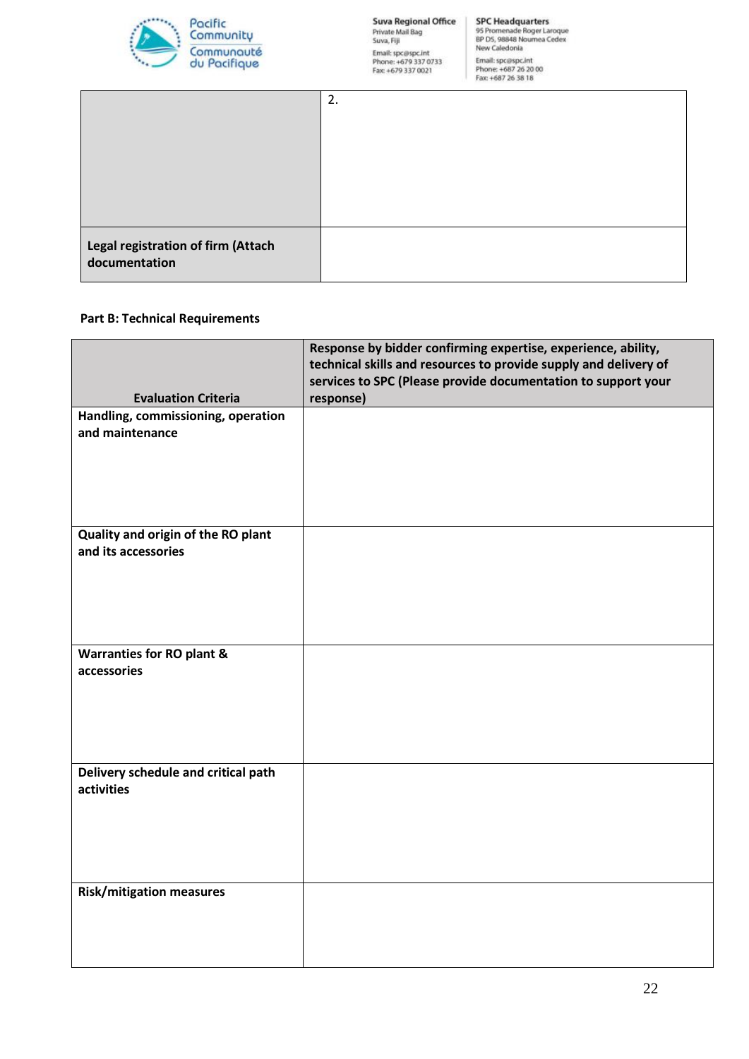

|                                                     | Fax: +00/20 30 18 |
|-----------------------------------------------------|-------------------|
|                                                     | 2.                |
| Legal registration of firm (Attach<br>documentation |                   |

#### **Part B: Technical Requirements**

|                                      | Response by bidder confirming expertise, experience, ability,<br>technical skills and resources to provide supply and delivery of |  |  |
|--------------------------------------|-----------------------------------------------------------------------------------------------------------------------------------|--|--|
|                                      | services to SPC (Please provide documentation to support your                                                                     |  |  |
| <b>Evaluation Criteria</b>           | response)                                                                                                                         |  |  |
| Handling, commissioning, operation   |                                                                                                                                   |  |  |
| and maintenance                      |                                                                                                                                   |  |  |
|                                      |                                                                                                                                   |  |  |
|                                      |                                                                                                                                   |  |  |
|                                      |                                                                                                                                   |  |  |
| Quality and origin of the RO plant   |                                                                                                                                   |  |  |
| and its accessories                  |                                                                                                                                   |  |  |
|                                      |                                                                                                                                   |  |  |
|                                      |                                                                                                                                   |  |  |
|                                      |                                                                                                                                   |  |  |
|                                      |                                                                                                                                   |  |  |
| <b>Warranties for RO plant &amp;</b> |                                                                                                                                   |  |  |
| accessories                          |                                                                                                                                   |  |  |
|                                      |                                                                                                                                   |  |  |
|                                      |                                                                                                                                   |  |  |
|                                      |                                                                                                                                   |  |  |
| Delivery schedule and critical path  |                                                                                                                                   |  |  |
| activities                           |                                                                                                                                   |  |  |
|                                      |                                                                                                                                   |  |  |
|                                      |                                                                                                                                   |  |  |
|                                      |                                                                                                                                   |  |  |
|                                      |                                                                                                                                   |  |  |
| <b>Risk/mitigation measures</b>      |                                                                                                                                   |  |  |
|                                      |                                                                                                                                   |  |  |
|                                      |                                                                                                                                   |  |  |
|                                      |                                                                                                                                   |  |  |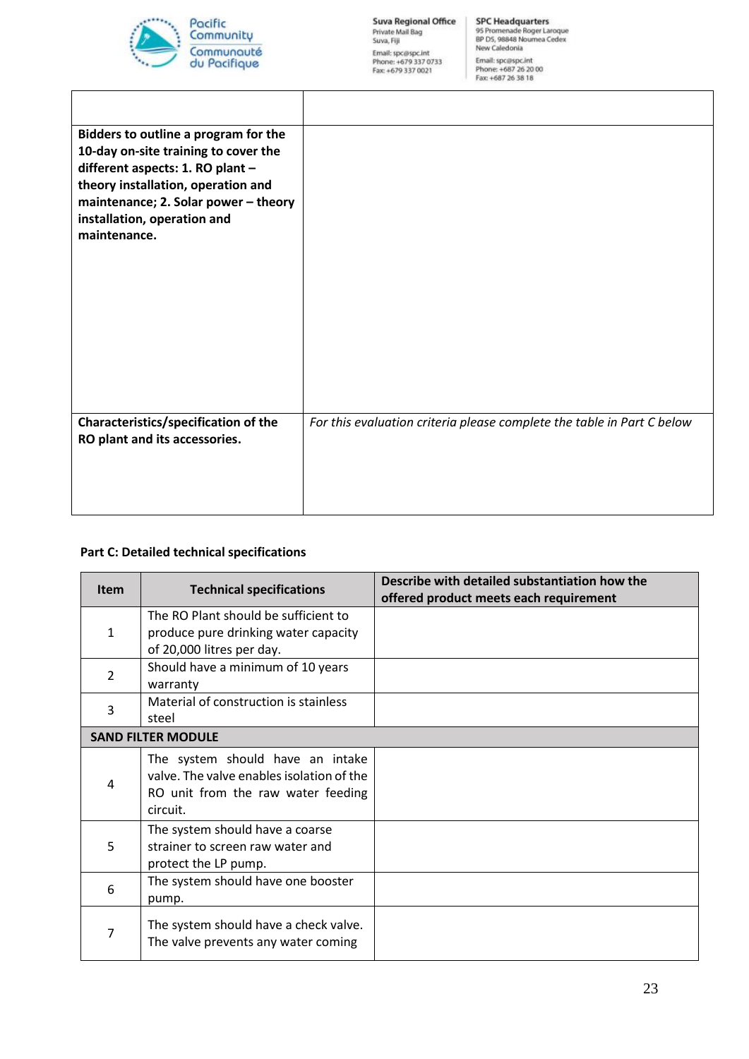

| <b>Suva Regional Office</b>    |
|--------------------------------|
| Private Mail Bag<br>Suva, Fiji |
| Email: spc@spc.int             |
| Phone: +679.337.0733           |
| Fax: +679 337 0021             |

| Bidders to outline a program for the                                                                                                                                                                  |                                                                        |
|-------------------------------------------------------------------------------------------------------------------------------------------------------------------------------------------------------|------------------------------------------------------------------------|
| 10-day on-site training to cover the<br>different aspects: 1. RO plant -<br>theory installation, operation and<br>maintenance; 2. Solar power - theory<br>installation, operation and<br>maintenance. |                                                                        |
| Characteristics/specification of the<br>RO plant and its accessories.                                                                                                                                 | For this evaluation criteria please complete the table in Part C below |

# **Part C: Detailed technical specifications**

| <b>Item</b>  | <b>Technical specifications</b>                                                                                                 | Describe with detailed substantiation how the<br>offered product meets each requirement |
|--------------|---------------------------------------------------------------------------------------------------------------------------------|-----------------------------------------------------------------------------------------|
| $\mathbf{1}$ | The RO Plant should be sufficient to<br>produce pure drinking water capacity<br>of 20,000 litres per day.                       |                                                                                         |
| 2            | Should have a minimum of 10 years<br>warranty                                                                                   |                                                                                         |
| 3            | Material of construction is stainless<br>steel                                                                                  |                                                                                         |
|              | <b>SAND FILTER MODULE</b>                                                                                                       |                                                                                         |
| 4            | The system should have an intake<br>valve. The valve enables isolation of the<br>RO unit from the raw water feeding<br>circuit. |                                                                                         |
| 5            | The system should have a coarse<br>strainer to screen raw water and<br>protect the LP pump.                                     |                                                                                         |
| 6            | The system should have one booster<br>pump.                                                                                     |                                                                                         |
| 7            | The system should have a check valve.<br>The valve prevents any water coming                                                    |                                                                                         |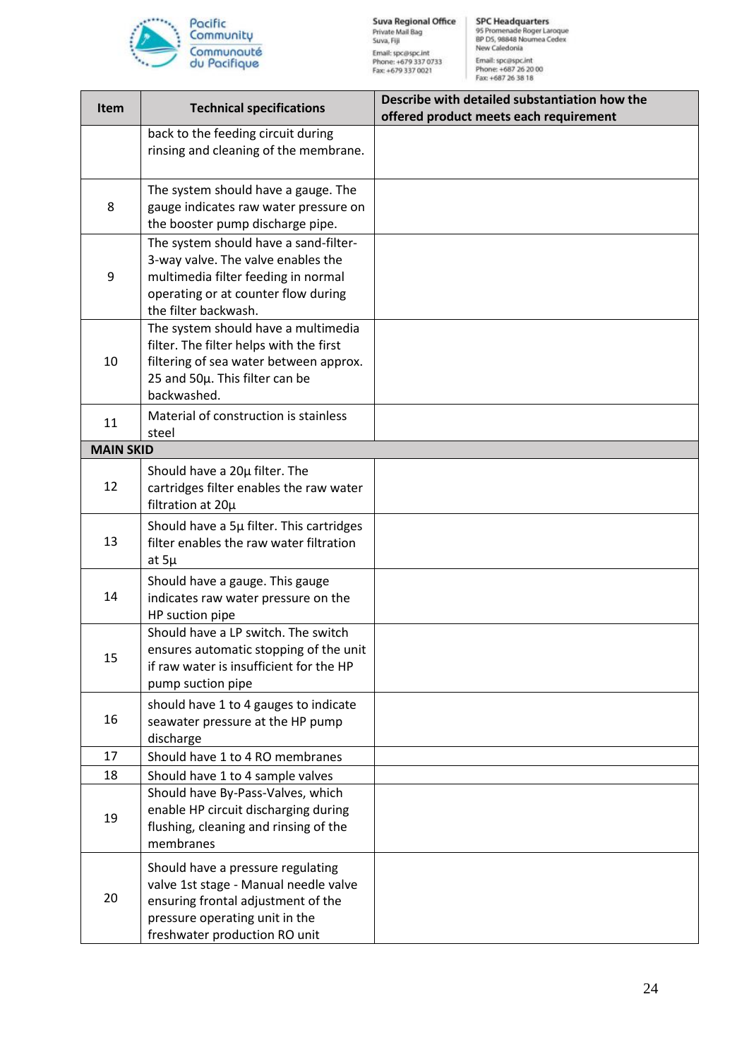

| <b>Item</b>      | <b>Technical specifications</b>                                                                                                                                                     | Describe with detailed substantiation how the<br>offered product meets each requirement |
|------------------|-------------------------------------------------------------------------------------------------------------------------------------------------------------------------------------|-----------------------------------------------------------------------------------------|
|                  | back to the feeding circuit during<br>rinsing and cleaning of the membrane.                                                                                                         |                                                                                         |
| 8                | The system should have a gauge. The<br>gauge indicates raw water pressure on<br>the booster pump discharge pipe.                                                                    |                                                                                         |
| 9                | The system should have a sand-filter-<br>3-way valve. The valve enables the<br>multimedia filter feeding in normal<br>operating or at counter flow during<br>the filter backwash.   |                                                                                         |
| 10               | The system should have a multimedia<br>filter. The filter helps with the first<br>filtering of sea water between approx.<br>25 and 50µ. This filter can be<br>backwashed.           |                                                                                         |
| 11               | Material of construction is stainless<br>steel                                                                                                                                      |                                                                                         |
| <b>MAIN SKID</b> |                                                                                                                                                                                     |                                                                                         |
| 12               | Should have a 20µ filter. The<br>cartridges filter enables the raw water<br>filtration at 20µ                                                                                       |                                                                                         |
| 13               | Should have a 5µ filter. This cartridges<br>filter enables the raw water filtration<br>at $5\mu$                                                                                    |                                                                                         |
| 14               | Should have a gauge. This gauge<br>indicates raw water pressure on the<br>HP suction pipe                                                                                           |                                                                                         |
| 15               | Should have a LP switch. The switch<br>ensures automatic stopping of the unit<br>if raw water is insufficient for the HP<br>pump suction pipe                                       |                                                                                         |
| 16               | should have 1 to 4 gauges to indicate<br>seawater pressure at the HP pump<br>discharge                                                                                              |                                                                                         |
| 17               | Should have 1 to 4 RO membranes                                                                                                                                                     |                                                                                         |
| 18               | Should have 1 to 4 sample valves                                                                                                                                                    |                                                                                         |
| 19               | Should have By-Pass-Valves, which<br>enable HP circuit discharging during<br>flushing, cleaning and rinsing of the<br>membranes                                                     |                                                                                         |
| 20               | Should have a pressure regulating<br>valve 1st stage - Manual needle valve<br>ensuring frontal adjustment of the<br>pressure operating unit in the<br>freshwater production RO unit |                                                                                         |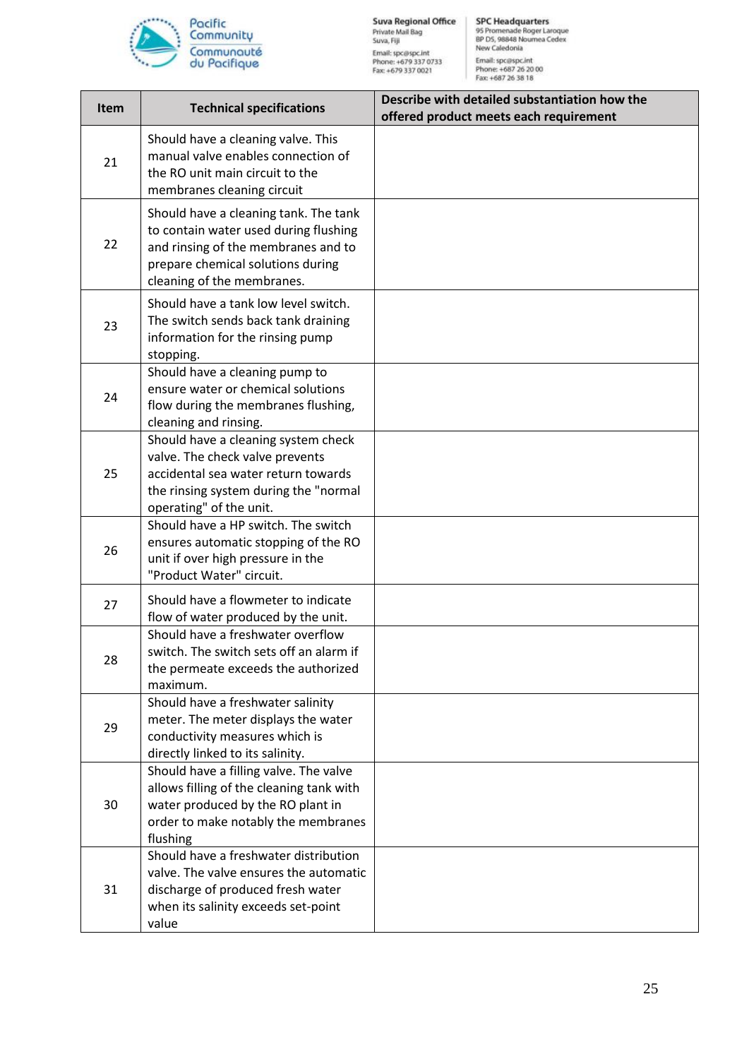

| <b>Item</b> | <b>Technical specifications</b>                                                                                                                                                          | Describe with detailed substantiation how the<br>offered product meets each requirement |
|-------------|------------------------------------------------------------------------------------------------------------------------------------------------------------------------------------------|-----------------------------------------------------------------------------------------|
| 21          | Should have a cleaning valve. This<br>manual valve enables connection of<br>the RO unit main circuit to the<br>membranes cleaning circuit                                                |                                                                                         |
| 22          | Should have a cleaning tank. The tank<br>to contain water used during flushing<br>and rinsing of the membranes and to<br>prepare chemical solutions during<br>cleaning of the membranes. |                                                                                         |
| 23          | Should have a tank low level switch.<br>The switch sends back tank draining<br>information for the rinsing pump<br>stopping.                                                             |                                                                                         |
| 24          | Should have a cleaning pump to<br>ensure water or chemical solutions<br>flow during the membranes flushing,<br>cleaning and rinsing.                                                     |                                                                                         |
| 25          | Should have a cleaning system check<br>valve. The check valve prevents<br>accidental sea water return towards<br>the rinsing system during the "normal<br>operating" of the unit.        |                                                                                         |
| 26          | Should have a HP switch. The switch<br>ensures automatic stopping of the RO<br>unit if over high pressure in the<br>"Product Water" circuit.                                             |                                                                                         |
| 27          | Should have a flowmeter to indicate<br>flow of water produced by the unit.                                                                                                               |                                                                                         |
| 28          | Should have a freshwater overflow<br>switch. The switch sets off an alarm if<br>the permeate exceeds the authorized<br>maximum.                                                          |                                                                                         |
| 29          | Should have a freshwater salinity<br>meter. The meter displays the water<br>conductivity measures which is<br>directly linked to its salinity.                                           |                                                                                         |
| 30          | Should have a filling valve. The valve<br>allows filling of the cleaning tank with<br>water produced by the RO plant in<br>order to make notably the membranes<br>flushing               |                                                                                         |
| 31          | Should have a freshwater distribution<br>valve. The valve ensures the automatic<br>discharge of produced fresh water<br>when its salinity exceeds set-point<br>value                     |                                                                                         |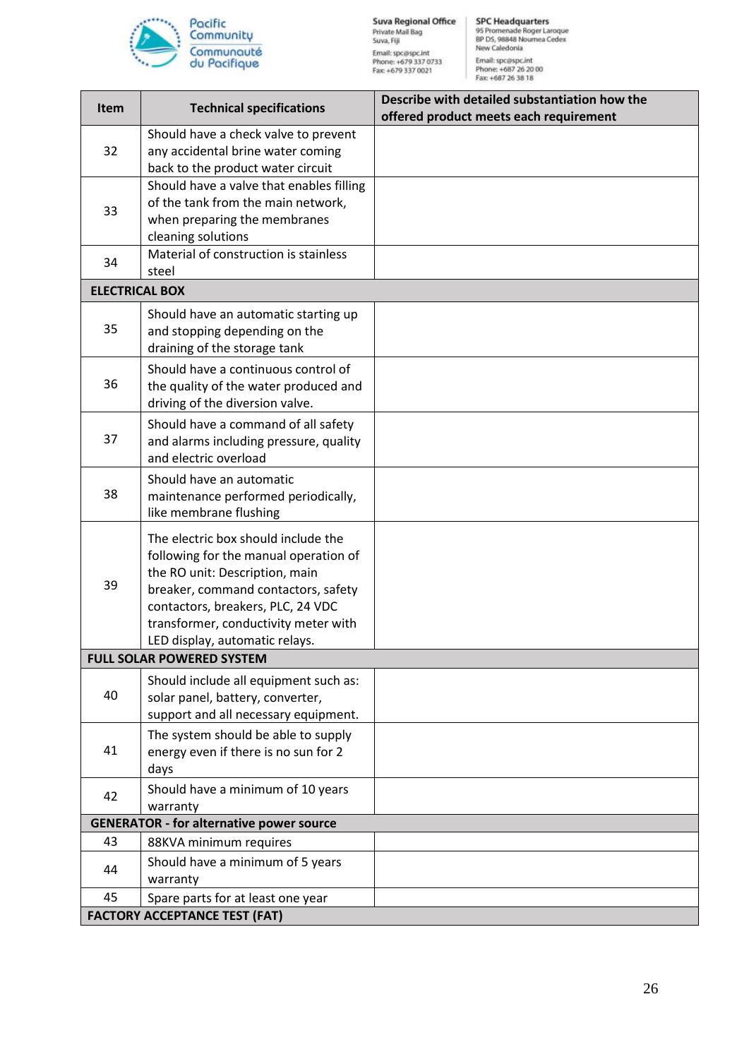

| <b>Item</b>           | <b>Technical specifications</b>                                                                                                                                                                                                                                      | Describe with detailed substantiation how the<br>offered product meets each requirement |
|-----------------------|----------------------------------------------------------------------------------------------------------------------------------------------------------------------------------------------------------------------------------------------------------------------|-----------------------------------------------------------------------------------------|
| 32                    | Should have a check valve to prevent<br>any accidental brine water coming<br>back to the product water circuit                                                                                                                                                       |                                                                                         |
| 33                    | Should have a valve that enables filling<br>of the tank from the main network,<br>when preparing the membranes<br>cleaning solutions                                                                                                                                 |                                                                                         |
| 34                    | Material of construction is stainless<br>steel                                                                                                                                                                                                                       |                                                                                         |
| <b>ELECTRICAL BOX</b> |                                                                                                                                                                                                                                                                      |                                                                                         |
| 35                    | Should have an automatic starting up<br>and stopping depending on the<br>draining of the storage tank                                                                                                                                                                |                                                                                         |
| 36                    | Should have a continuous control of<br>the quality of the water produced and<br>driving of the diversion valve.                                                                                                                                                      |                                                                                         |
| 37                    | Should have a command of all safety<br>and alarms including pressure, quality<br>and electric overload                                                                                                                                                               |                                                                                         |
| 38                    | Should have an automatic<br>maintenance performed periodically,<br>like membrane flushing                                                                                                                                                                            |                                                                                         |
| 39                    | The electric box should include the<br>following for the manual operation of<br>the RO unit: Description, main<br>breaker, command contactors, safety<br>contactors, breakers, PLC, 24 VDC<br>transformer, conductivity meter with<br>LED display, automatic relays. |                                                                                         |
|                       | <b>FULL SOLAR POWERED SYSTEM</b>                                                                                                                                                                                                                                     |                                                                                         |
| 40                    | Should include all equipment such as:<br>solar panel, battery, converter,<br>support and all necessary equipment.                                                                                                                                                    |                                                                                         |
| 41                    | The system should be able to supply<br>energy even if there is no sun for 2<br>days                                                                                                                                                                                  |                                                                                         |
| 42                    | Should have a minimum of 10 years<br>warranty                                                                                                                                                                                                                        |                                                                                         |
|                       | <b>GENERATOR - for alternative power source</b>                                                                                                                                                                                                                      |                                                                                         |
| 43                    | 88KVA minimum requires                                                                                                                                                                                                                                               |                                                                                         |
| 44                    | Should have a minimum of 5 years<br>warranty                                                                                                                                                                                                                         |                                                                                         |
| 45                    | Spare parts for at least one year                                                                                                                                                                                                                                    |                                                                                         |
|                       | <b>FACTORY ACCEPTANCE TEST (FAT)</b>                                                                                                                                                                                                                                 |                                                                                         |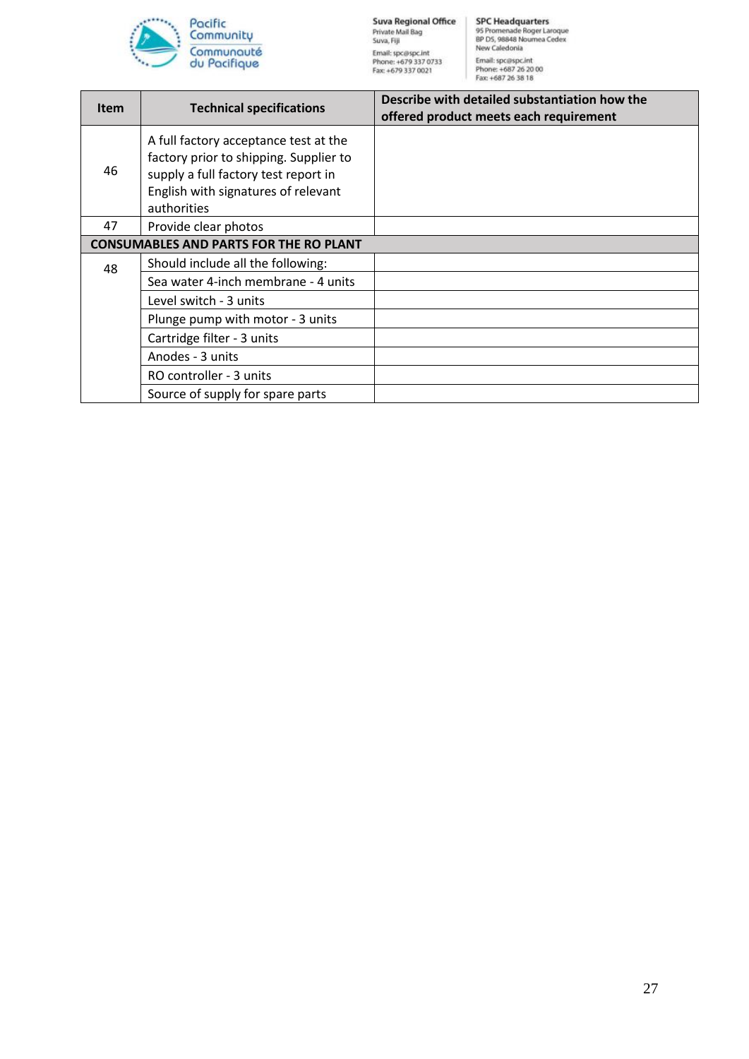

| <b>Item</b> | <b>Technical specifications</b>                                                                                                                                               | Describe with detailed substantiation how the<br>offered product meets each requirement |
|-------------|-------------------------------------------------------------------------------------------------------------------------------------------------------------------------------|-----------------------------------------------------------------------------------------|
| 46          | A full factory acceptance test at the<br>factory prior to shipping. Supplier to<br>supply a full factory test report in<br>English with signatures of relevant<br>authorities |                                                                                         |
| 47          | Provide clear photos                                                                                                                                                          |                                                                                         |
|             | <b>CONSUMABLES AND PARTS FOR THE RO PLANT</b>                                                                                                                                 |                                                                                         |
| 48          | Should include all the following:                                                                                                                                             |                                                                                         |
|             | Sea water 4-inch membrane - 4 units                                                                                                                                           |                                                                                         |
|             | Level switch - 3 units                                                                                                                                                        |                                                                                         |
|             | Plunge pump with motor - 3 units                                                                                                                                              |                                                                                         |
|             | Cartridge filter - 3 units                                                                                                                                                    |                                                                                         |
|             | Anodes - 3 units                                                                                                                                                              |                                                                                         |
|             | RO controller - 3 units                                                                                                                                                       |                                                                                         |
|             | Source of supply for spare parts                                                                                                                                              |                                                                                         |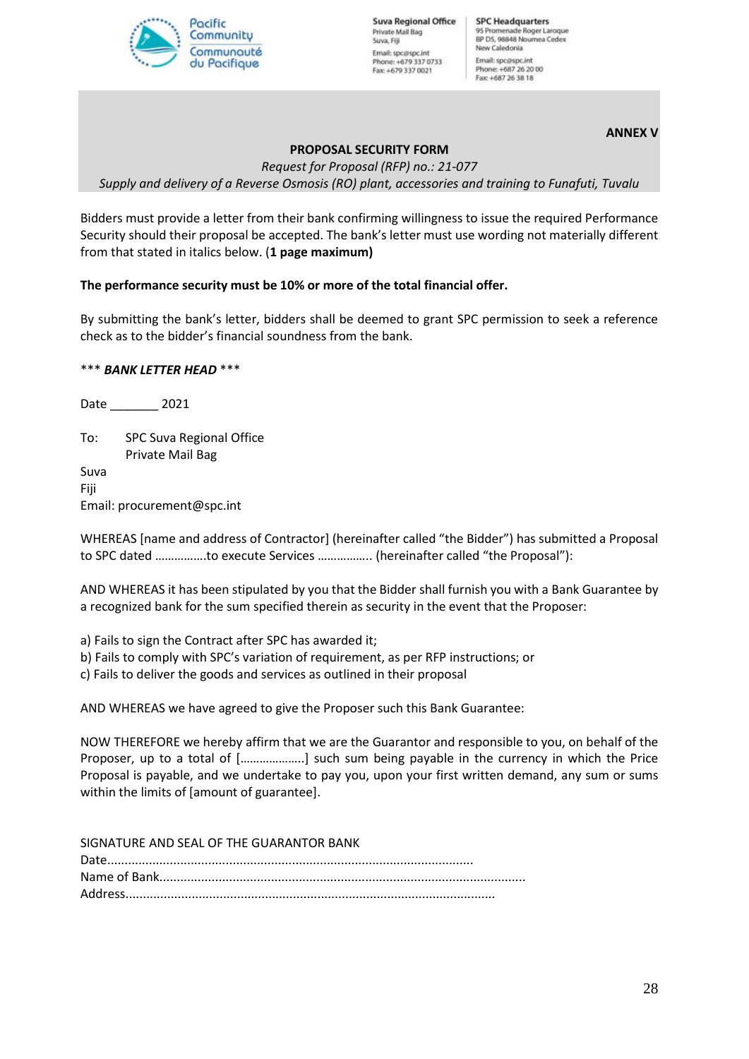

**Suva Regional Office** Private Mail Bag Suva, Fill Email: spc@spc.int Phone: +679 337 0733 Fax: +679 337 0021

**SPC Headquarters** 95 Promenade Roger Laroque<br>BP D5, 98848 Noumea Cedex New Caledonia Email: spc@spc.int Phone: +687 26 20 00<br>Fax: +687 26 38 18

**ANNEX V**

# **PROPOSAL SECURITY FORM**

*Request for Proposal (RFP) no.: 21-077 Supply and delivery of a Reverse Osmosis (RO) plant, accessories and training to Funafuti, Tuvalu*

Bidders must provide a letter from their bank confirming willingness to issue the required Performance Security should their proposal be accepted. The bank's letter must use wording not materially different from that stated in italics below. (**1 page maximum)**

#### **The performance security must be 10% or more of the total financial offer.**

By submitting the bank's letter, bidders shall be deemed to grant SPC permission to seek a reference check as to the bidder's financial soundness from the bank.

#### \*\*\* *BANK LETTER HEAD* \*\*\*

Date \_\_\_\_\_\_\_ 2021

To: SPC Suva Regional Office Private Mail Bag Suva

Fiji Email: procurement@spc.int

WHEREAS [name and address of Contractor] (hereinafter called "the Bidder") has submitted a Proposal to SPC dated …………….to execute Services …………….. (hereinafter called "the Proposal"):

AND WHEREAS it has been stipulated by you that the Bidder shall furnish you with a Bank Guarantee by a recognized bank for the sum specified therein as security in the event that the Proposer:

a) Fails to sign the Contract after SPC has awarded it;

b) Fails to comply with SPC's variation of requirement, as per RFP instructions; or

c) Fails to deliver the goods and services as outlined in their proposal

AND WHEREAS we have agreed to give the Proposer such this Bank Guarantee:

NOW THEREFORE we hereby affirm that we are the Guarantor and responsible to you, on behalf of the Proposer, up to a total of [………………..] such sum being payable in the currency in which the Price Proposal is payable, and we undertake to pay you, upon your first written demand, any sum or sums within the limits of [amount of guarantee].

SIGNATURE AND SEAL OF THE GUARANTOR BANK Date......................................................................................................... Name of Bank......................................................................................................... Address..........................................................................................................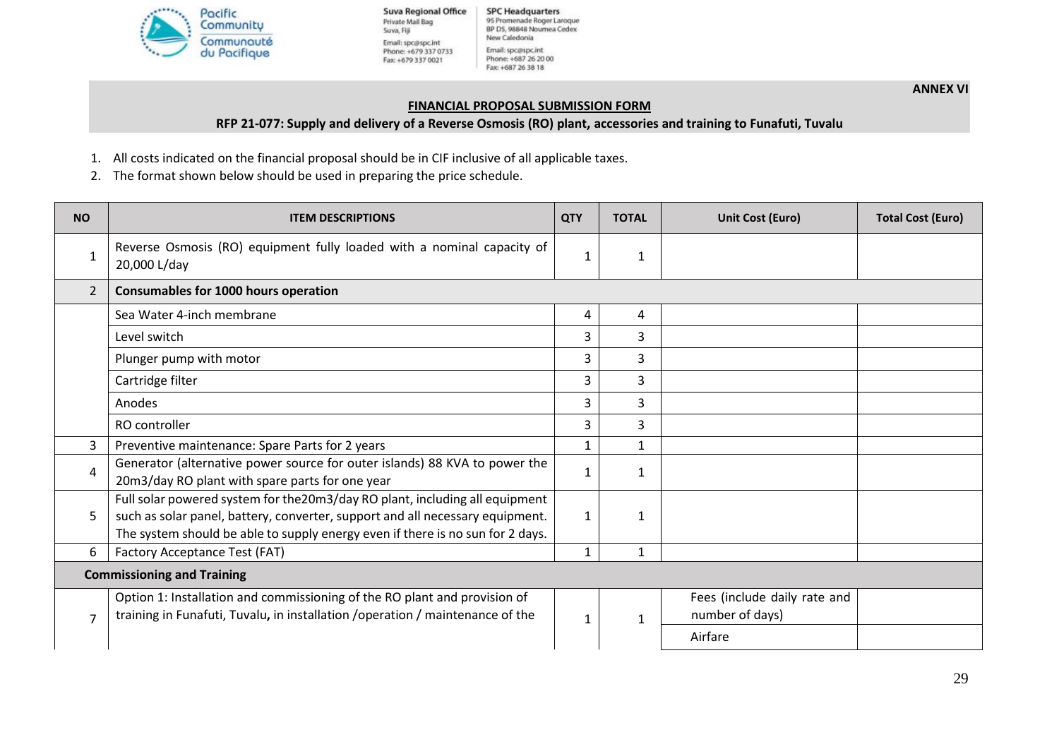

**Suva Regional Office** Private Mail Bag Suva, Fiji Email: spc@spc.int<br>Phone: +679 337 0733 Fax: +679 337 0021

**SPC Headquarters** 95 Promenade Roger Laroque BP D5, 98848 Noumea Cedex New Caledonia Email: spc@spc.int Phone: +687 26 20 00 Fax: +687 26 38 18

**ANNEX VI**

#### **FINANCIAL PROPOSAL SUBMISSION FORM**

#### **RFP 21-077: Supply and delivery of a Reverse Osmosis (RO) plant, accessories and training to Funafuti, Tuvalu**

- 1. All costs indicated on the financial proposal should be in CIF inclusive of all applicable taxes.
- 2. The format shown below should be used in preparing the price schedule.

| <b>NO</b>                         | <b>ITEM DESCRIPTIONS</b>                                                                                                                                                                                                                        | <b>QTY</b>   | <b>TOTAL</b> | <b>Unit Cost (Euro)</b>                         | <b>Total Cost (Euro)</b> |
|-----------------------------------|-------------------------------------------------------------------------------------------------------------------------------------------------------------------------------------------------------------------------------------------------|--------------|--------------|-------------------------------------------------|--------------------------|
| $\mathbf{1}$                      | Reverse Osmosis (RO) equipment fully loaded with a nominal capacity of<br>20,000 L/day                                                                                                                                                          | 1            | 1            |                                                 |                          |
| $\overline{2}$                    | Consumables for 1000 hours operation                                                                                                                                                                                                            |              |              |                                                 |                          |
|                                   | Sea Water 4-inch membrane                                                                                                                                                                                                                       | 4            | 4            |                                                 |                          |
|                                   | Level switch                                                                                                                                                                                                                                    | 3            | 3            |                                                 |                          |
|                                   | Plunger pump with motor                                                                                                                                                                                                                         | 3            | 3            |                                                 |                          |
|                                   | Cartridge filter                                                                                                                                                                                                                                | 3            | 3            |                                                 |                          |
|                                   | Anodes                                                                                                                                                                                                                                          | 3            | 3            |                                                 |                          |
|                                   | RO controller                                                                                                                                                                                                                                   | 3            | 3            |                                                 |                          |
| 3                                 | Preventive maintenance: Spare Parts for 2 years                                                                                                                                                                                                 | 1            | $\mathbf{1}$ |                                                 |                          |
| 4                                 | Generator (alternative power source for outer islands) 88 KVA to power the<br>20m3/day RO plant with spare parts for one year                                                                                                                   | 1            | 1            |                                                 |                          |
| 5                                 | Full solar powered system for the 20m3/day RO plant, including all equipment<br>such as solar panel, battery, converter, support and all necessary equipment.<br>The system should be able to supply energy even if there is no sun for 2 days. | $\mathbf{1}$ | 1            |                                                 |                          |
| 6                                 | Factory Acceptance Test (FAT)                                                                                                                                                                                                                   | $\mathbf{1}$ | 1            |                                                 |                          |
| <b>Commissioning and Training</b> |                                                                                                                                                                                                                                                 |              |              |                                                 |                          |
| $\overline{7}$                    | Option 1: Installation and commissioning of the RO plant and provision of<br>training in Funafuti, Tuvalu, in installation / operation / maintenance of the                                                                                     | $\mathbf{1}$ | $\mathbf{1}$ | Fees (include daily rate and<br>number of days) |                          |
|                                   |                                                                                                                                                                                                                                                 |              |              | Airfare                                         |                          |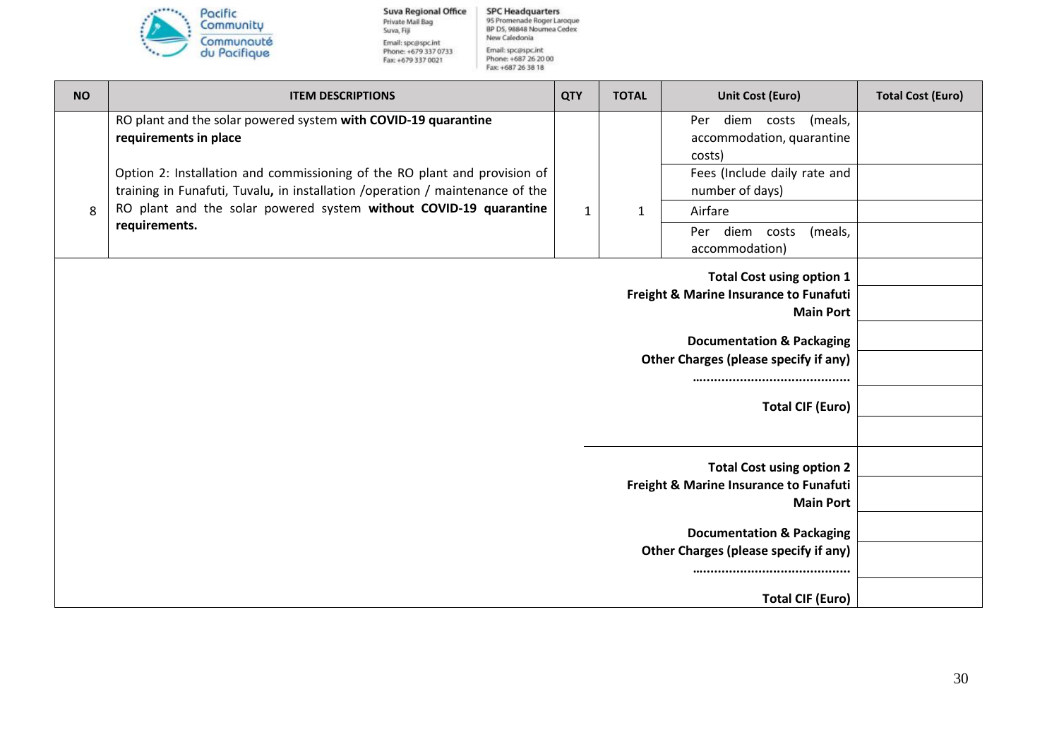

**Suva Regional Office** Private Mail Bag<br>Suva, Fiji Email: spc@spc.int<br>Phone: +679 337 0733<br>Fax: +679 337 0021

SPC Headquarters<br>95 Promenade Roger Laroque<br>8P D5, 98848 Nournea Cedex<br>New Caledonia Email: spc@spc.int<br>Phone: +687 26 20 00<br>Fax: +687 26 38 18

| <b>NO</b> | <b>ITEM DESCRIPTIONS</b>                                                                                                                                    | <b>QTY</b>   | <b>TOTAL</b> | <b>Unit Cost (Euro)</b>                                                              | <b>Total Cost (Euro)</b> |
|-----------|-------------------------------------------------------------------------------------------------------------------------------------------------------------|--------------|--------------|--------------------------------------------------------------------------------------|--------------------------|
|           | RO plant and the solar powered system with COVID-19 quarantine<br>requirements in place                                                                     |              |              | diem costs<br>(meals,<br>Per<br>accommodation, quarantine<br>costs)                  |                          |
|           | Option 2: Installation and commissioning of the RO plant and provision of<br>training in Funafuti, Tuvalu, in installation / operation / maintenance of the |              |              | Fees (Include daily rate and<br>number of days)                                      |                          |
| 8         | RO plant and the solar powered system without COVID-19 quarantine                                                                                           | $\mathbf{1}$ | 1            | Airfare                                                                              |                          |
|           | requirements.                                                                                                                                               |              |              | diem<br>costs<br>(meals,<br>Per<br>accommodation)                                    |                          |
|           | <b>Total Cost using option 1</b>                                                                                                                            |              |              |                                                                                      |                          |
|           | Freight & Marine Insurance to Funafuti<br><b>Main Port</b>                                                                                                  |              |              |                                                                                      |                          |
|           | <b>Documentation &amp; Packaging</b>                                                                                                                        |              |              |                                                                                      |                          |
|           | <b>Other Charges (please specify if any)</b>                                                                                                                |              |              |                                                                                      |                          |
|           |                                                                                                                                                             |              |              |                                                                                      |                          |
|           |                                                                                                                                                             |              |              | <b>Total CIF (Euro)</b>                                                              |                          |
|           |                                                                                                                                                             |              |              |                                                                                      |                          |
|           |                                                                                                                                                             |              |              | <b>Total Cost using option 2</b>                                                     |                          |
|           | Freight & Marine Insurance to Funafuti<br><b>Main Port</b>                                                                                                  |              |              |                                                                                      |                          |
|           |                                                                                                                                                             |              |              |                                                                                      |                          |
|           |                                                                                                                                                             |              |              | <b>Documentation &amp; Packaging</b><br><b>Other Charges (please specify if any)</b> |                          |
|           |                                                                                                                                                             |              |              |                                                                                      |                          |
|           |                                                                                                                                                             |              |              | <b>Total CIF (Euro)</b>                                                              |                          |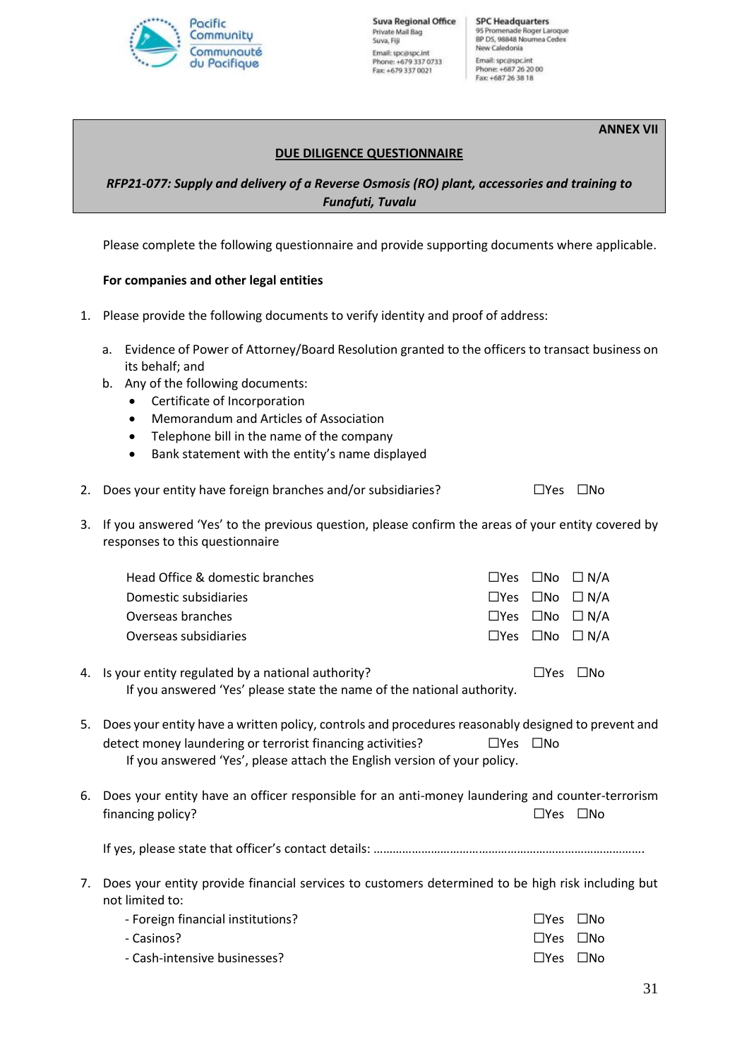

#### **ANNEX VII**

#### **DUE DILIGENCE QUESTIONNAIRE**

# *RFP21-077: Supply and delivery of a Reverse Osmosis (RO) plant, accessories and training to Funafuti, Tuvalu*

Please complete the following questionnaire and provide supporting documents where applicable.

#### **For companies and other legal entities**

- 1. Please provide the following documents to verify identity and proof of address:
	- a. Evidence of Power of Attorney/Board Resolution granted to the officers to transact business on its behalf; and
	- b. Any of the following documents:
		- Certificate of Incorporation
		- Memorandum and Articles of Association
		- Telephone bill in the name of the company
		- Bank statement with the entity's name displayed
- 2. Does your entity have foreign branches and/or subsidiaries? ☐Yes ☐No
- 3. If you answered 'Yes' to the previous question, please confirm the areas of your entity covered by responses to this questionnaire

|    | Head Office & domestic branches                                                                                                                                                                                                              |                      |            | $\Box$ Yes $\Box$ No $\Box$ N/A       |
|----|----------------------------------------------------------------------------------------------------------------------------------------------------------------------------------------------------------------------------------------------|----------------------|------------|---------------------------------------|
|    | Domestic subsidiaries                                                                                                                                                                                                                        |                      |            | $\Box$ Yes $\Box$ No $\Box$ N/A       |
|    | Overseas branches                                                                                                                                                                                                                            |                      |            | $\Box$ Yes $\Box$ No $\Box$ N/A       |
|    | Overseas subsidiaries                                                                                                                                                                                                                        | $\square$ Yes        |            | □No □ N/A                             |
|    | 4. Is your entity regulated by a national authority?<br>If you answered 'Yes' please state the name of the national authority.                                                                                                               |                      | $\Box$ Yes | $\square$ No                          |
|    |                                                                                                                                                                                                                                              |                      |            |                                       |
| 5. | Does your entity have a written policy, controls and procedures reasonably designed to prevent and<br>detect money laundering or terrorist financing activities?<br>If you answered 'Yes', please attach the English version of your policy. | $\Box$ Yes $\Box$ No |            |                                       |
| 6. | Does your entity have an officer responsible for an anti-money laundering and counter-terrorism<br>financing policy?                                                                                                                         |                      |            | $\Box$ Yes $\Box$ No                  |
|    |                                                                                                                                                                                                                                              |                      |            |                                       |
| 7. | Does your entity provide financial services to customers determined to be high risk including but<br>not limited to:                                                                                                                         |                      |            |                                       |
|    | Earoign financial institutions?                                                                                                                                                                                                              |                      |            | $\Box V_{\alpha c}$ $\Box M_{\alpha}$ |

| - Foreign financial institutions? | $\Box$ Yes $\Box$ No       |  |
|-----------------------------------|----------------------------|--|
| - Casinos?                        | □Yes □No                   |  |
| - Cash-intensive businesses?      | $\square$ Yes $\square$ No |  |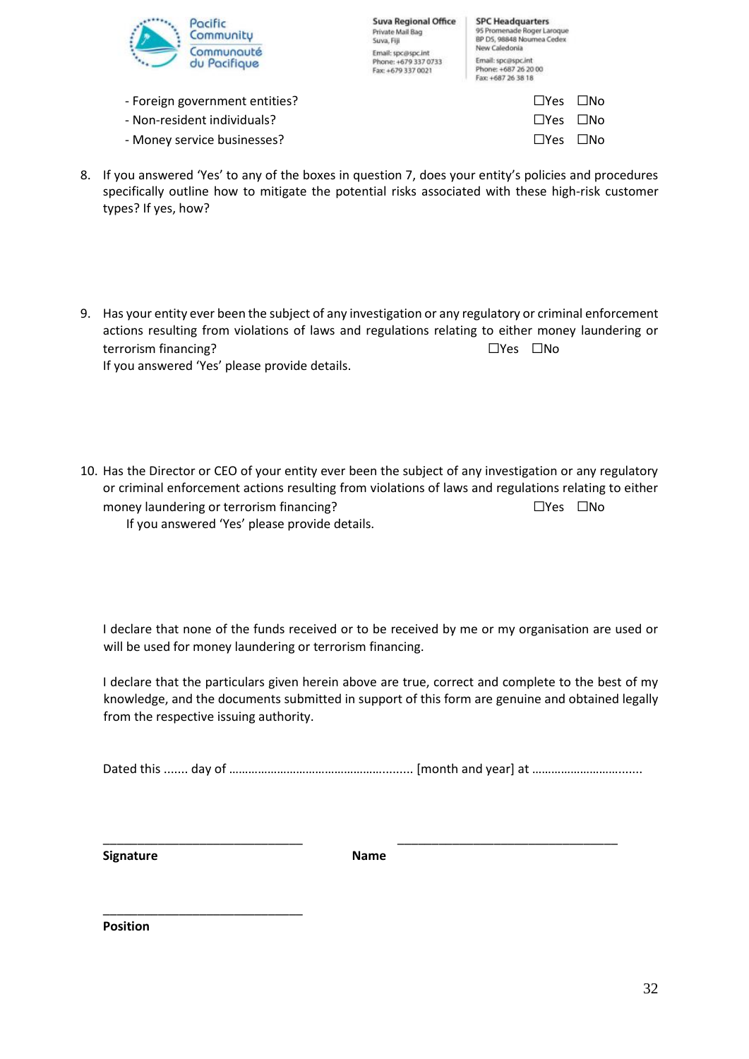

| <b>Suva Regional Office</b> |
|-----------------------------|
| Private Mail Bag            |
| Suva, Fiji                  |
| Email: spc@spc.int          |
| Phone: +679 337 0733        |
| Fax: +679 337 0021          |

- Foreign government entities? ☐Yes ☐No
- Non-resident individuals? ☐Yes ☐No
- Money service businesses? ☐Yes ☐No
- 8. If you answered 'Yes' to any of the boxes in question 7, does your entity's policies and procedures specifically outline how to mitigate the potential risks associated with these high-risk customer types? If yes, how?
- 9. Has your entity ever been the subject of any investigation or any regulatory or criminal enforcement actions resulting from violations of laws and regulations relating to either money laundering or terrorism financing? ☐Yes ☐No If you answered 'Yes' please provide details.
- 10. Has the Director or CEO of your entity ever been the subject of any investigation or any regulatory or criminal enforcement actions resulting from violations of laws and regulations relating to either money laundering or terrorism financing? ☐Yes ☐No If you answered 'Yes' please provide details.

I declare that none of the funds received or to be received by me or my organisation are used or will be used for money laundering or terrorism financing.

I declare that the particulars given herein above are true, correct and complete to the best of my knowledge, and the documents submitted in support of this form are genuine and obtained legally from the respective issuing authority.

Dated this ....... day of …………………………………………......... [month and year] at ……………………….......

**Signature Name**

\_\_\_\_\_\_\_\_\_\_\_\_\_\_\_\_\_\_\_\_\_\_\_\_\_\_\_\_\_ \_\_\_\_\_\_\_\_\_\_\_\_\_\_\_\_\_\_\_\_\_\_\_\_\_\_\_\_\_\_\_\_

**Position**

\_\_\_\_\_\_\_\_\_\_\_\_\_\_\_\_\_\_\_\_\_\_\_\_\_\_\_\_\_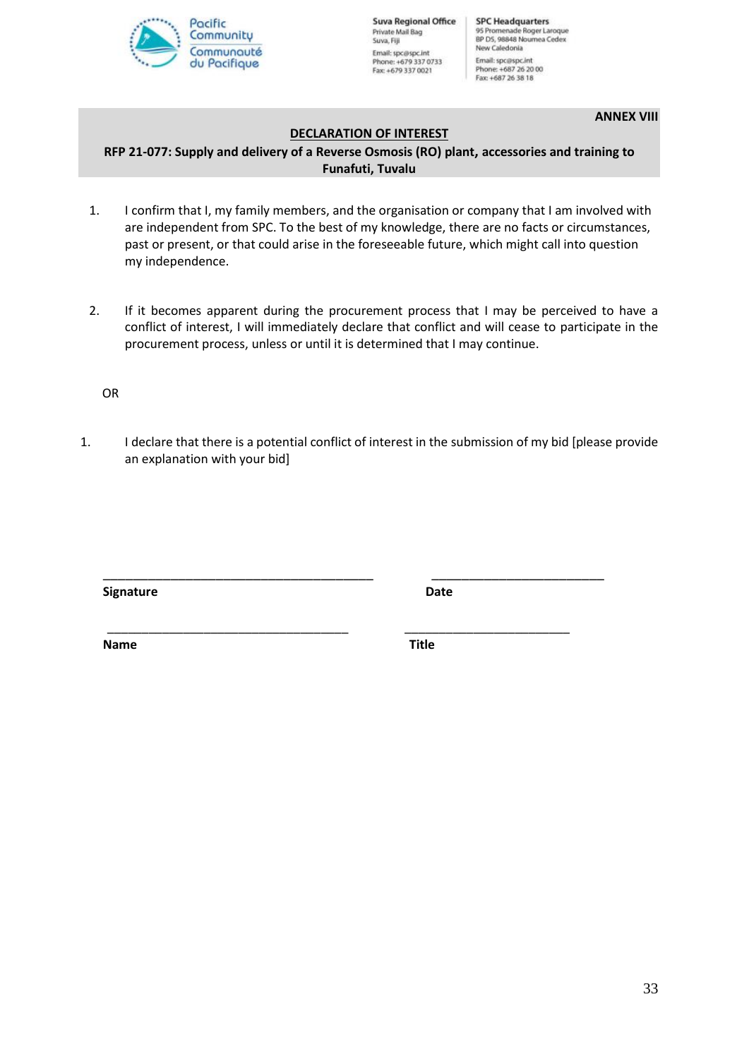

**Suva Regional Office** Private Mail Bag Suva, Fiji Email: spc@spc.int Phone: +679 337 0733<br>Fax: +679 337 0021

**SPC Headquarters** 95 Promenade Roger Laroque<br>BP D5, 98848 Noumea Cedex New Caledonia Email: spc@spc.int Phone: +687 26 20 00<br>Fax: +687 26 38 18

**ANNEX VIII**

## **DECLARATION OF INTEREST**

**RFP 21-077: Supply and delivery of a Reverse Osmosis (RO) plant, accessories and training to Funafuti, Tuvalu**

- 1. I confirm that I, my family members, and the organisation or company that I am involved with are independent from SPC. To the best of my knowledge, there are no facts or circumstances, past or present, or that could arise in the foreseeable future, which might call into question my independence.
- 2. If it becomes apparent during the procurement process that I may be perceived to have a conflict of interest, I will immediately declare that conflict and will cease to participate in the procurement process, unless or until it is determined that I may continue.

OR

1. I declare that there is a potential conflict of interest in the submission of my bid [please provide an explanation with your bid]

\_\_\_\_\_\_\_\_\_\_\_\_\_\_\_\_\_\_\_\_\_\_\_\_\_\_\_\_\_\_\_\_\_\_\_ \_\_\_\_\_\_\_\_\_\_\_\_\_\_\_\_\_\_\_\_\_\_\_\_

**Signature Date**

\_\_\_\_\_\_\_\_\_\_\_\_\_\_\_\_\_\_\_\_\_\_\_\_\_\_\_\_\_\_\_\_\_\_\_\_ \_\_\_\_\_\_\_\_\_\_\_\_\_\_\_\_\_\_\_\_\_\_\_

**Name** Title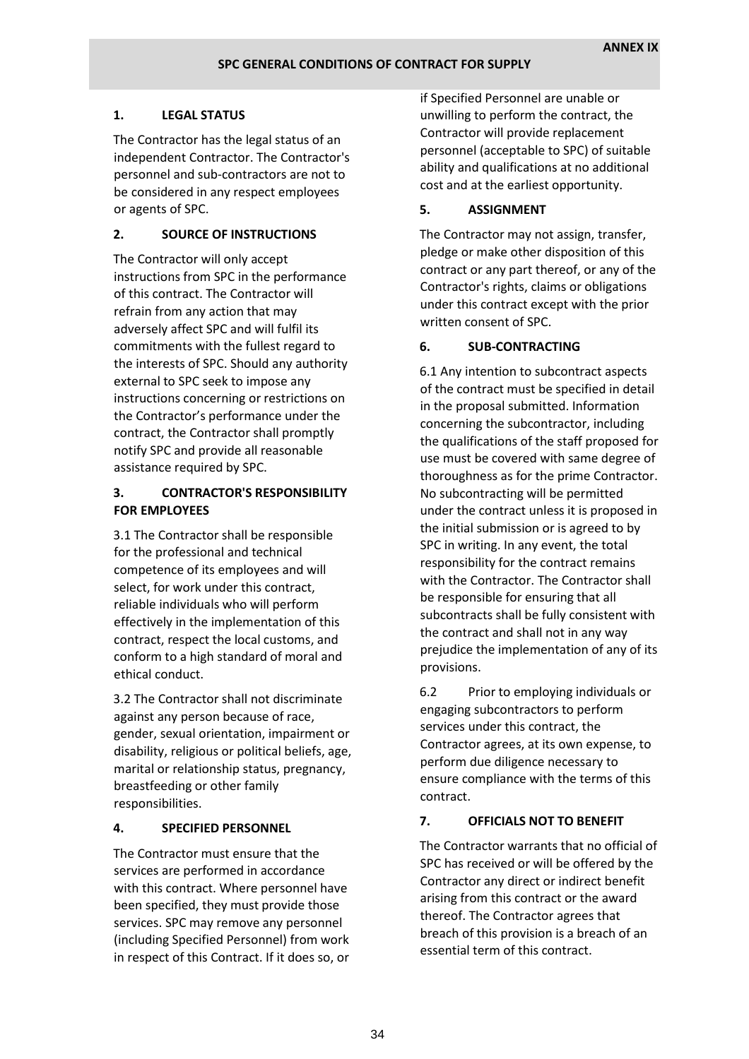## **1. LEGAL STATUS**

The Contractor has the legal status of an independent Contractor. The Contractor's personnel and sub-contractors are not to be considered in any respect employees or agents of SPC.

## **2. SOURCE OF INSTRUCTIONS**

The Contractor will only accept instructions from SPC in the performance of this contract. The Contractor will refrain from any action that may adversely affect SPC and will fulfil its commitments with the fullest regard to the interests of SPC. Should any authority external to SPC seek to impose any instructions concerning or restrictions on the Contractor's performance under the contract, the Contractor shall promptly notify SPC and provide all reasonable assistance required by SPC.

# **3. CONTRACTOR'S RESPONSIBILITY FOR EMPLOYEES**

3.1 The Contractor shall be responsible for the professional and technical competence of its employees and will select, for work under this contract, reliable individuals who will perform effectively in the implementation of this contract, respect the local customs, and conform to a high standard of moral and ethical conduct.

3.2 The Contractor shall not discriminate against any person because of race, gender, sexual orientation, impairment or disability, religious or political beliefs, age, marital or relationship status, pregnancy, breastfeeding or other family responsibilities.

## **4. SPECIFIED PERSONNEL**

The Contractor must ensure that the services are performed in accordance with this contract. Where personnel have been specified, they must provide those services. SPC may remove any personnel (including Specified Personnel) from work in respect of this Contract. If it does so, or

if Specified Personnel are unable or unwilling to perform the contract, the Contractor will provide replacement personnel (acceptable to SPC) of suitable ability and qualifications at no additional cost and at the earliest opportunity.

# **5. ASSIGNMENT**

The Contractor may not assign, transfer, pledge or make other disposition of this contract or any part thereof, or any of the Contractor's rights, claims or obligations under this contract except with the prior written consent of SPC.

# **6. SUB-CONTRACTING**

6.1 Any intention to subcontract aspects of the contract must be specified in detail in the proposal submitted. Information concerning the subcontractor, including the qualifications of the staff proposed for use must be covered with same degree of thoroughness as for the prime Contractor. No subcontracting will be permitted under the contract unless it is proposed in the initial submission or is agreed to by SPC in writing. In any event, the total responsibility for the contract remains with the Contractor. The Contractor shall be responsible for ensuring that all subcontracts shall be fully consistent with the contract and shall not in any way prejudice the implementation of any of its provisions.

6.2 Prior to employing individuals or engaging subcontractors to perform services under this contract, the Contractor agrees, at its own expense, to perform due diligence necessary to ensure compliance with the terms of this contract.

## **7. OFFICIALS NOT TO BENEFIT**

The Contractor warrants that no official of SPC has received or will be offered by the Contractor any direct or indirect benefit arising from this contract or the award thereof. The Contractor agrees that breach of this provision is a breach of an essential term of this contract.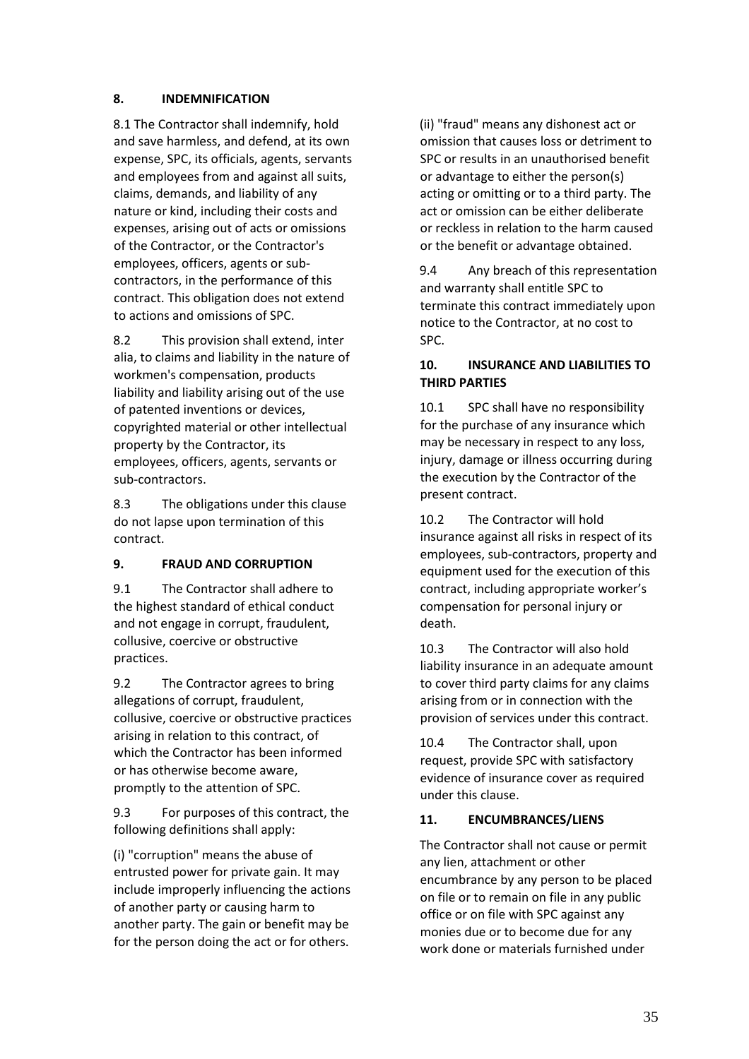#### **8. INDEMNIFICATION**

8.1 The Contractor shall indemnify, hold and save harmless, and defend, at its own expense, SPC, its officials, agents, servants and employees from and against all suits, claims, demands, and liability of any nature or kind, including their costs and expenses, arising out of acts or omissions of the Contractor, or the Contractor's employees, officers, agents or subcontractors, in the performance of this contract. This obligation does not extend to actions and omissions of SPC.

8.2 This provision shall extend, inter alia, to claims and liability in the nature of workmen's compensation, products liability and liability arising out of the use of patented inventions or devices, copyrighted material or other intellectual property by the Contractor, its employees, officers, agents, servants or sub-contractors.

8.3 The obligations under this clause do not lapse upon termination of this contract.

## **9. FRAUD AND CORRUPTION**

9.1 The Contractor shall adhere to the highest standard of ethical conduct and not engage in corrupt, fraudulent, collusive, coercive or obstructive practices.

9.2 The Contractor agrees to bring allegations of corrupt, fraudulent, collusive, coercive or obstructive practices arising in relation to this contract, of which the Contractor has been informed or has otherwise become aware, promptly to the attention of SPC.

9.3 For purposes of this contract, the following definitions shall apply:

(i) "corruption" means the abuse of entrusted power for private gain. It may include improperly influencing the actions of another party or causing harm to another party. The gain or benefit may be for the person doing the act or for others.

(ii) "fraud" means any dishonest act or omission that causes loss or detriment to SPC or results in an unauthorised benefit or advantage to either the person(s) acting or omitting or to a third party. The act or omission can be either deliberate or reckless in relation to the harm caused or the benefit or advantage obtained.

9.4 Any breach of this representation and warranty shall entitle SPC to terminate this contract immediately upon notice to the Contractor, at no cost to SPC.

# **10. INSURANCE AND LIABILITIES TO THIRD PARTIES**

10.1 SPC shall have no responsibility for the purchase of any insurance which may be necessary in respect to any loss, injury, damage or illness occurring during the execution by the Contractor of the present contract.

10.2 The Contractor will hold insurance against all risks in respect of its employees, sub-contractors, property and equipment used for the execution of this contract, including appropriate worker's compensation for personal injury or death.

10.3 The Contractor will also hold liability insurance in an adequate amount to cover third party claims for any claims arising from or in connection with the provision of services under this contract.

10.4 The Contractor shall, upon request, provide SPC with satisfactory evidence of insurance cover as required under this clause.

# **11. ENCUMBRANCES/LIENS**

The Contractor shall not cause or permit any lien, attachment or other encumbrance by any person to be placed on file or to remain on file in any public office or on file with SPC against any monies due or to become due for any work done or materials furnished under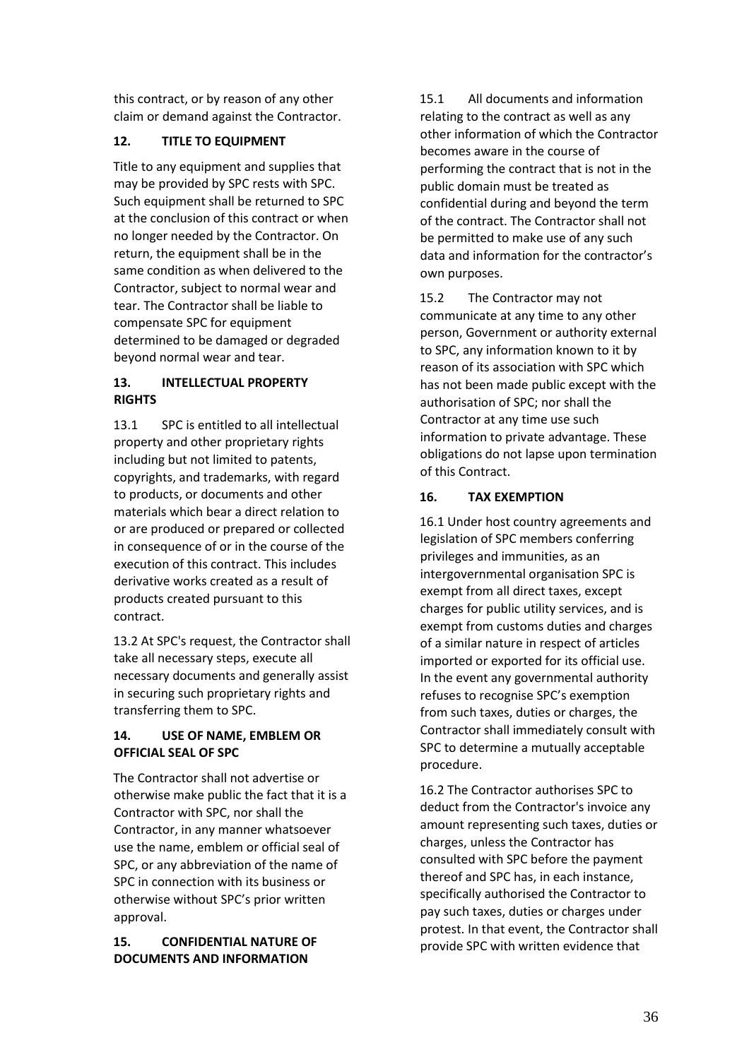this contract, or by reason of any other claim or demand against the Contractor.

# **12. TITLE TO EQUIPMENT**

Title to any equipment and supplies that may be provided by SPC rests with SPC. Such equipment shall be returned to SPC at the conclusion of this contract or when no longer needed by the Contractor. On return, the equipment shall be in the same condition as when delivered to the Contractor, subject to normal wear and tear. The Contractor shall be liable to compensate SPC for equipment determined to be damaged or degraded beyond normal wear and tear.

# **13. INTELLECTUAL PROPERTY RIGHTS**

13.1 SPC is entitled to all intellectual property and other proprietary rights including but not limited to patents, copyrights, and trademarks, with regard to products, or documents and other materials which bear a direct relation to or are produced or prepared or collected in consequence of or in the course of the execution of this contract. This includes derivative works created as a result of products created pursuant to this contract.

13.2 At SPC's request, the Contractor shall take all necessary steps, execute all necessary documents and generally assist in securing such proprietary rights and transferring them to SPC.

# **14. USE OF NAME, EMBLEM OR OFFICIAL SEAL OF SPC**

The Contractor shall not advertise or otherwise make public the fact that it is a Contractor with SPC, nor shall the Contractor, in any manner whatsoever use the name, emblem or official seal of SPC, or any abbreviation of the name of SPC in connection with its business or otherwise without SPC's prior written approval.

# **15. CONFIDENTIAL NATURE OF DOCUMENTS AND INFORMATION**

15.1 All documents and information relating to the contract as well as any other information of which the Contractor becomes aware in the course of performing the contract that is not in the public domain must be treated as confidential during and beyond the term of the contract. The Contractor shall not be permitted to make use of any such data and information for the contractor's own purposes.

15.2 The Contractor may not communicate at any time to any other person, Government or authority external to SPC, any information known to it by reason of its association with SPC which has not been made public except with the authorisation of SPC; nor shall the Contractor at any time use such information to private advantage. These obligations do not lapse upon termination of this Contract.

# **16. TAX EXEMPTION**

16.1 Under host country agreements and legislation of SPC members conferring privileges and immunities, as an intergovernmental organisation SPC is exempt from all direct taxes, except charges for public utility services, and is exempt from customs duties and charges of a similar nature in respect of articles imported or exported for its official use. In the event any governmental authority refuses to recognise SPC's exemption from such taxes, duties or charges, the Contractor shall immediately consult with SPC to determine a mutually acceptable procedure.

16.2 The Contractor authorises SPC to deduct from the Contractor's invoice any amount representing such taxes, duties or charges, unless the Contractor has consulted with SPC before the payment thereof and SPC has, in each instance, specifically authorised the Contractor to pay such taxes, duties or charges under protest. In that event, the Contractor shall provide SPC with written evidence that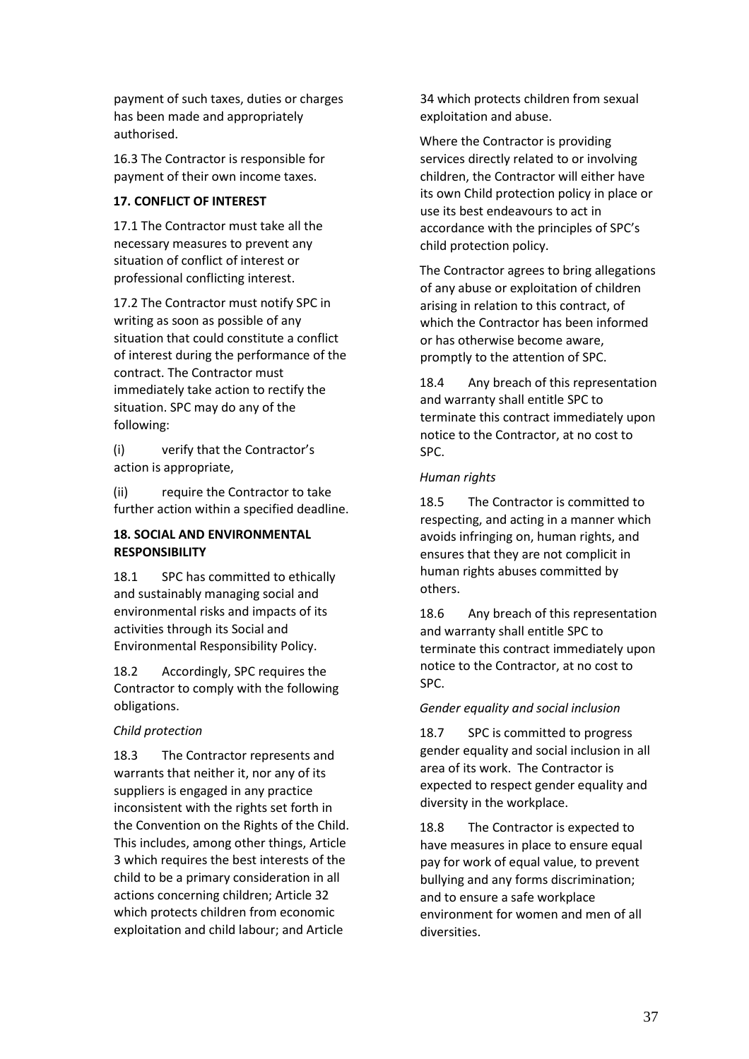payment of such taxes, duties or charges has been made and appropriately authorised.

16.3 The Contractor is responsible for payment of their own income taxes.

# **17. CONFLICT OF INTEREST**

17.1 The Contractor must take all the necessary measures to prevent any situation of conflict of interest or professional conflicting interest.

17.2 The Contractor must notify SPC in writing as soon as possible of any situation that could constitute a conflict of interest during the performance of the contract. The Contractor must immediately take action to rectify the situation. SPC may do any of the following:

(i) verify that the Contractor's action is appropriate,

(ii) require the Contractor to take further action within a specified deadline.

## **18. SOCIAL AND ENVIRONMENTAL RESPONSIBILITY**

18.1 SPC has committed to ethically and sustainably managing social and environmental risks and impacts of its activities through its Social and Environmental Responsibility Policy.

18.2 Accordingly, SPC requires the Contractor to comply with the following obligations.

# *Child protection*

18.3 The Contractor represents and warrants that neither it, nor any of its suppliers is engaged in any practice inconsistent with the rights set forth in the Convention on the Rights of the Child. This includes, among other things, Article 3 which requires the best interests of the child to be a primary consideration in all actions concerning children; Article 32 which protects children from economic exploitation and child labour; and Article

34 which protects children from sexual exploitation and abuse.

Where the Contractor is providing services directly related to or involving children, the Contractor will either have its own Child protection policy in place or use its best endeavours to act in accordance with the principles of SPC's child protection policy.

The Contractor agrees to bring allegations of any abuse or exploitation of children arising in relation to this contract, of which the Contractor has been informed or has otherwise become aware, promptly to the attention of SPC.

18.4 Any breach of this representation and warranty shall entitle SPC to terminate this contract immediately upon notice to the Contractor, at no cost to SPC.

## *Human rights*

18.5 The Contractor is committed to respecting, and acting in a manner which avoids infringing on, human rights, and ensures that they are not complicit in human rights abuses committed by others.

18.6 Any breach of this representation and warranty shall entitle SPC to terminate this contract immediately upon notice to the Contractor, at no cost to SPC.

## *Gender equality and social inclusion*

18.7 SPC is committed to progress gender equality and social inclusion in all area of its work. The Contractor is expected to respect gender equality and diversity in the workplace.

18.8 The Contractor is expected to have measures in place to ensure equal pay for work of equal value, to prevent bullying and any forms discrimination; and to ensure a safe workplace environment for women and men of all diversities.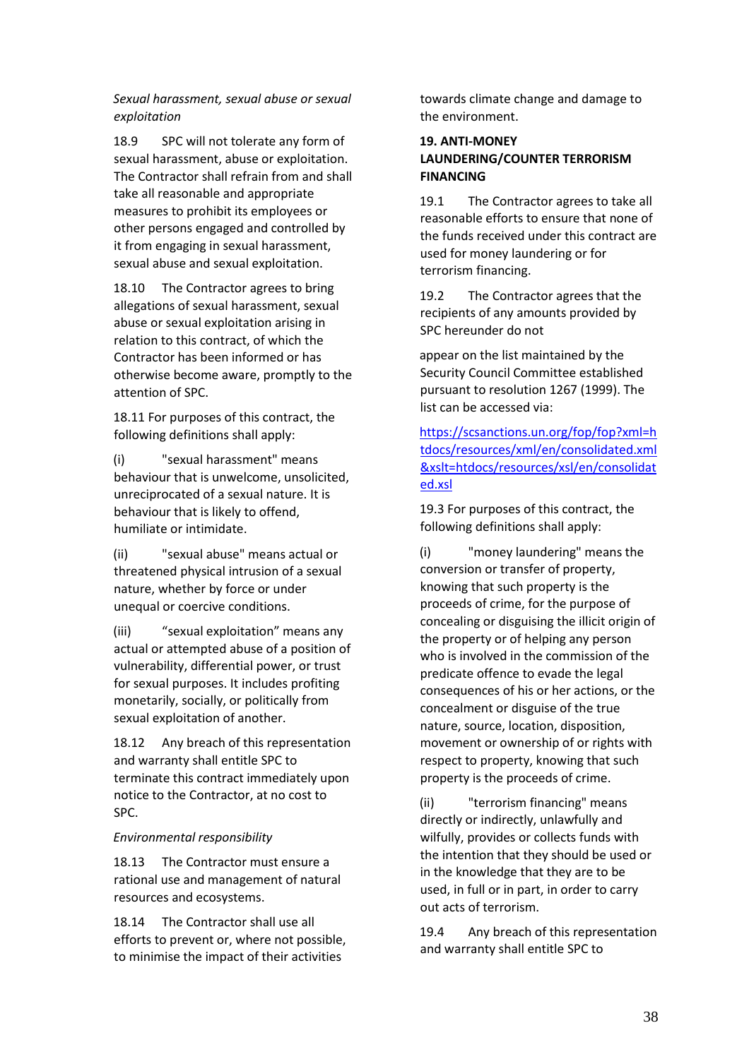*Sexual harassment, sexual abuse or sexual exploitation*

18.9 SPC will not tolerate any form of sexual harassment, abuse or exploitation. The Contractor shall refrain from and shall take all reasonable and appropriate measures to prohibit its employees or other persons engaged and controlled by it from engaging in sexual harassment, sexual abuse and sexual exploitation.

18.10 The Contractor agrees to bring allegations of sexual harassment, sexual abuse or sexual exploitation arising in relation to this contract, of which the Contractor has been informed or has otherwise become aware, promptly to the attention of SPC.

18.11 For purposes of this contract, the following definitions shall apply:

(i) "sexual harassment" means behaviour that is unwelcome, unsolicited, unreciprocated of a sexual nature. It is behaviour that is likely to offend, humiliate or intimidate.

(ii) "sexual abuse" means actual or threatened physical intrusion of a sexual nature, whether by force or under unequal or coercive conditions.

(iii) "sexual exploitation" means any actual or attempted abuse of a position of vulnerability, differential power, or trust for sexual purposes. It includes profiting monetarily, socially, or politically from sexual exploitation of another.

18.12 Any breach of this representation and warranty shall entitle SPC to terminate this contract immediately upon notice to the Contractor, at no cost to SPC.

#### *Environmental responsibility*

18.13 The Contractor must ensure a rational use and management of natural resources and ecosystems.

18.14 The Contractor shall use all efforts to prevent or, where not possible, to minimise the impact of their activities

towards climate change and damage to the environment.

## **19. ANTI-MONEY LAUNDERING/COUNTER TERRORISM FINANCING**

19.1 The Contractor agrees to take all reasonable efforts to ensure that none of the funds received under this contract are used for money laundering or for terrorism financing.

19.2 The Contractor agrees that the recipients of any amounts provided by SPC hereunder do not

appear on the list maintained by the Security Council Committee established pursuant to resolution 1267 (1999). The list can be accessed via:

[https://scsanctions.un.org/fop/fop?xml=h](https://scsanctions.un.org/fop/fop?xml=htdocs/resources/xml/en/consolidated.xml&xslt=htdocs/resources/xsl/en/consolidated.xsl) [tdocs/resources/xml/en/consolidated.xml](https://scsanctions.un.org/fop/fop?xml=htdocs/resources/xml/en/consolidated.xml&xslt=htdocs/resources/xsl/en/consolidated.xsl) [&xslt=htdocs/resources/xsl/en/consolidat](https://scsanctions.un.org/fop/fop?xml=htdocs/resources/xml/en/consolidated.xml&xslt=htdocs/resources/xsl/en/consolidated.xsl) [ed.xsl](https://scsanctions.un.org/fop/fop?xml=htdocs/resources/xml/en/consolidated.xml&xslt=htdocs/resources/xsl/en/consolidated.xsl)

19.3 For purposes of this contract, the following definitions shall apply:

(i) "money laundering" means the conversion or transfer of property, knowing that such property is the proceeds of crime, for the purpose of concealing or disguising the illicit origin of the property or of helping any person who is involved in the commission of the predicate offence to evade the legal consequences of his or her actions, or the concealment or disguise of the true nature, source, location, disposition, movement or ownership of or rights with respect to property, knowing that such property is the proceeds of crime.

(ii) "terrorism financing" means directly or indirectly, unlawfully and wilfully, provides or collects funds with the intention that they should be used or in the knowledge that they are to be used, in full or in part, in order to carry out acts of terrorism.

19.4 Any breach of this representation and warranty shall entitle SPC to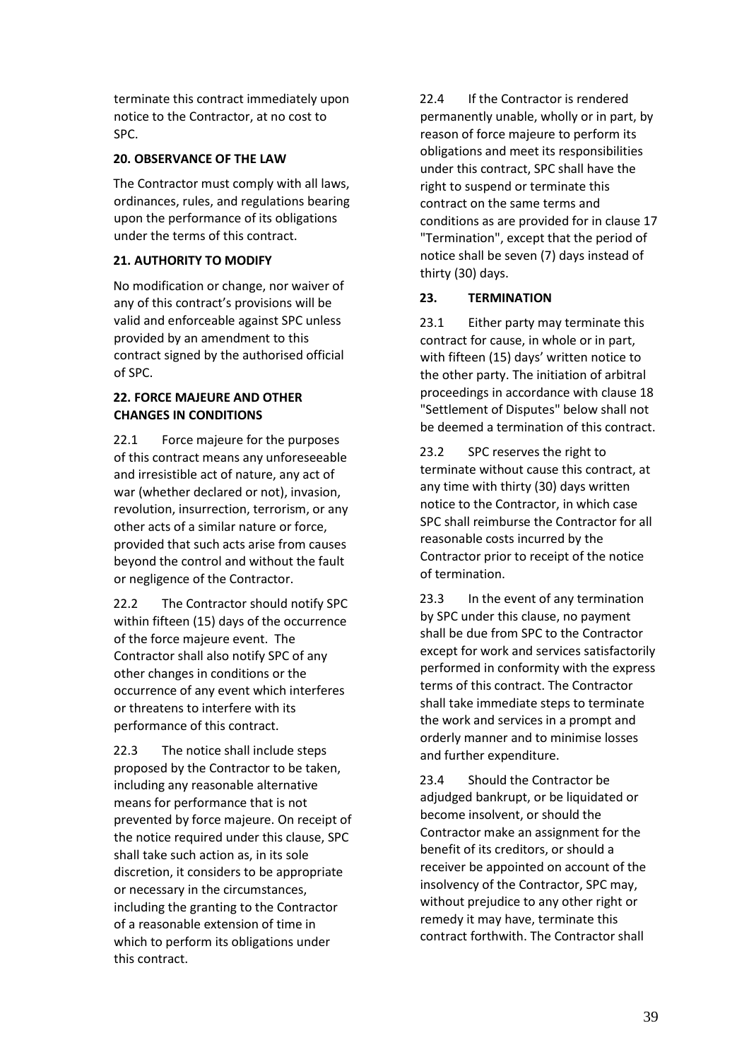terminate this contract immediately upon notice to the Contractor, at no cost to SPC.

### **20. OBSERVANCE OF THE LAW**

The Contractor must comply with all laws, ordinances, rules, and regulations bearing upon the performance of its obligations under the terms of this contract.

## **21. AUTHORITY TO MODIFY**

No modification or change, nor waiver of any of this contract's provisions will be valid and enforceable against SPC unless provided by an amendment to this contract signed by the authorised official of SPC.

## **22. FORCE MAJEURE AND OTHER CHANGES IN CONDITIONS**

22.1 Force majeure for the purposes of this contract means any unforeseeable and irresistible act of nature, any act of war (whether declared or not), invasion, revolution, insurrection, terrorism, or any other acts of a similar nature or force, provided that such acts arise from causes beyond the control and without the fault or negligence of the Contractor.

22.2 The Contractor should notify SPC within fifteen (15) days of the occurrence of the force majeure event. The Contractor shall also notify SPC of any other changes in conditions or the occurrence of any event which interferes or threatens to interfere with its performance of this contract.

22.3 The notice shall include steps proposed by the Contractor to be taken, including any reasonable alternative means for performance that is not prevented by force majeure. On receipt of the notice required under this clause, SPC shall take such action as, in its sole discretion, it considers to be appropriate or necessary in the circumstances, including the granting to the Contractor of a reasonable extension of time in which to perform its obligations under this contract.

22.4 If the Contractor is rendered permanently unable, wholly or in part, by reason of force majeure to perform its obligations and meet its responsibilities under this contract, SPC shall have the right to suspend or terminate this contract on the same terms and conditions as are provided for in clause 17 "Termination", except that the period of notice shall be seven (7) days instead of thirty (30) days.

# **23. TERMINATION**

23.1 Either party may terminate this contract for cause, in whole or in part, with fifteen (15) days' written notice to the other party. The initiation of arbitral proceedings in accordance with clause 18 "Settlement of Disputes" below shall not be deemed a termination of this contract.

23.2 SPC reserves the right to terminate without cause this contract, at any time with thirty (30) days written notice to the Contractor, in which case SPC shall reimburse the Contractor for all reasonable costs incurred by the Contractor prior to receipt of the notice of termination.

23.3 In the event of any termination by SPC under this clause, no payment shall be due from SPC to the Contractor except for work and services satisfactorily performed in conformity with the express terms of this contract. The Contractor shall take immediate steps to terminate the work and services in a prompt and orderly manner and to minimise losses and further expenditure.

23.4 Should the Contractor be adjudged bankrupt, or be liquidated or become insolvent, or should the Contractor make an assignment for the benefit of its creditors, or should a receiver be appointed on account of the insolvency of the Contractor, SPC may, without prejudice to any other right or remedy it may have, terminate this contract forthwith. The Contractor shall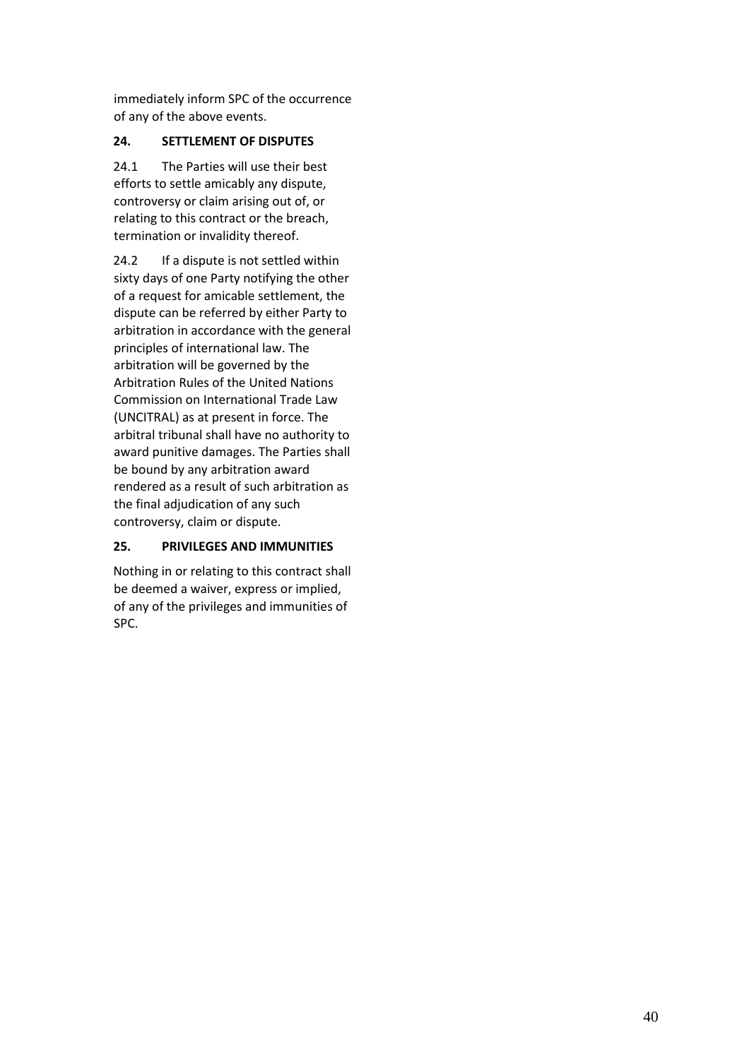immediately inform SPC of the occurrence of any of the above events.

## **24. SETTLEMENT OF DISPUTES**

24.1 The Parties will use their best efforts to settle amicably any dispute, controversy or claim arising out of, or relating to this contract or the breach, termination or invalidity thereof.

24.2 If a dispute is not settled within sixty days of one Party notifying the other of a request for amicable settlement, the dispute can be referred by either Party to arbitration in accordance with the general principles of international law. The arbitration will be governed by the Arbitration Rules of the United Nations Commission on International Trade Law (UNCITRAL) as at present in force. The arbitral tribunal shall have no authority to award punitive damages. The Parties shall be bound by any arbitration award rendered as a result of such arbitration as the final adjudication of any such controversy, claim or dispute.

# **25. PRIVILEGES AND IMMUNITIES**

Nothing in or relating to this contract shall be deemed a waiver, express or implied, of any of the privileges and immunities of SPC.